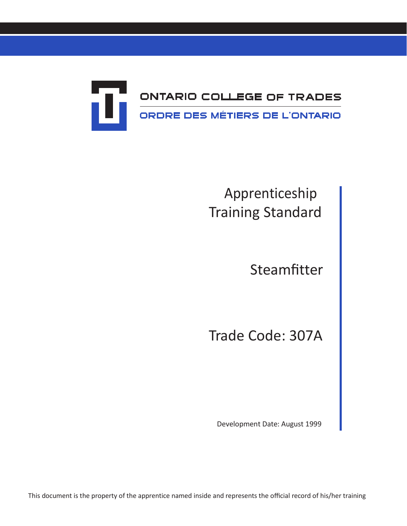

# Apprenticeship Training Standard

Steamfitter

Trade Code: 307A

Development Date: August 1999

This document is the property of the apprentice named inside and represents the official record of his/her training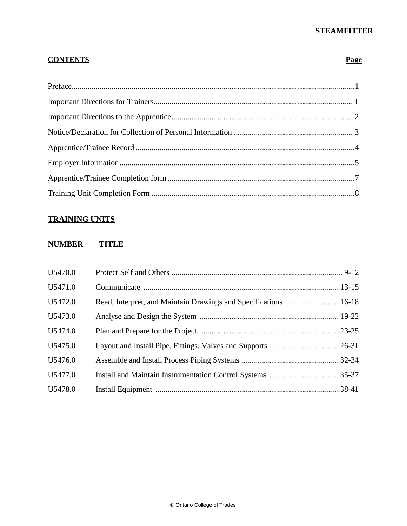# **STEAMFITTER**

# **CONTENTS Page**

# **TRAINING UNITS**

#### **NUMBER TITLE**

| U5470.0 |                                                                  |  |
|---------|------------------------------------------------------------------|--|
| U5471.0 |                                                                  |  |
| U5472.0 | Read, Interpret, and Maintain Drawings and Specifications  16-18 |  |
| U5473.0 |                                                                  |  |
| U5474.0 |                                                                  |  |
| U5475.0 |                                                                  |  |
| U5476.0 |                                                                  |  |
| U5477.0 |                                                                  |  |
| U5478.0 |                                                                  |  |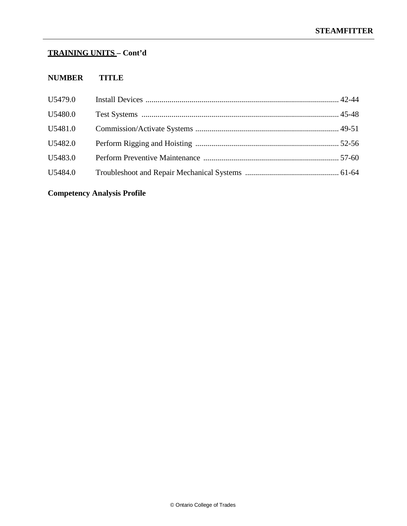# **TRAINING UNITS – Cont'd**

# **NUMBER TITLE**

| U5479.0 |  |
|---------|--|
| U5480.0 |  |
| U5481.0 |  |
| U5482.0 |  |
| U5483.0 |  |
| U5484.0 |  |
|         |  |

# **Competency Analysis Profile**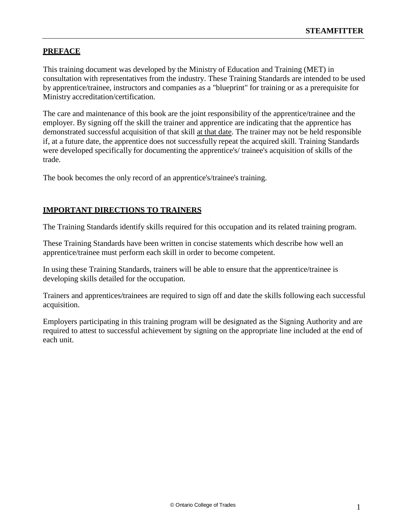## <span id="page-3-0"></span>**PREFACE**

This training document was developed by the Ministry of Education and Training (MET) in consultation with representatives from the industry. These Training Standards are intended to be used by apprentice/trainee, instructors and companies as a "blueprint" for training or as a prerequisite for Ministry accreditation/certification.

The care and maintenance of this book are the joint responsibility of the apprentice/trainee and the employer. By signing off the skill the trainer and apprentice are indicating that the apprentice has demonstrated successful acquisition of that skill at that date. The trainer may not be held responsible if, at a future date, the apprentice does not successfully repeat the acquired skill. Training Standards were developed specifically for documenting the apprentice's/ trainee's acquisition of skills of the trade.

The book becomes the only record of an apprentice's/trainee's training.

#### **IMPORTANT DIRECTIONS TO TRAINERS**

The Training Standards identify skills required for this occupation and its related training program.

These Training Standards have been written in concise statements which describe how well an apprentice/trainee must perform each skill in order to become competent.

In using these Training Standards, trainers will be able to ensure that the apprentice/trainee is developing skills detailed for the occupation.

Trainers and apprentices/trainees are required to sign off and date the skills following each successful acquisition.

Employers participating in this training program will be designated as the Signing Authority and are required to attest to successful achievement by signing on the appropriate line included at the end of each unit.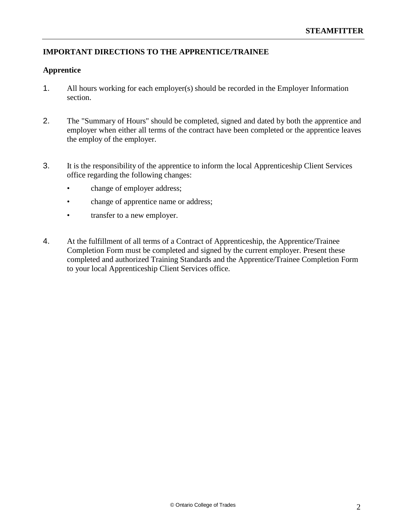# **IMPORTANT DIRECTIONS TO THE APPRENTICE/TRAINEE**

#### **Apprentice**

- 1. All hours working for each employer(s) should be recorded in the Employer Information section.
- 2. The "Summary of Hours" should be completed, signed and dated by both the apprentice and employer when either all terms of the contract have been completed or the apprentice leaves the employ of the employer.
- 3. It is the responsibility of the apprentice to inform the local Apprenticeship Client Services office regarding the following changes:
	- change of employer address;
	- change of apprentice name or address;
	- transfer to a new employer.
- 4. At the fulfillment of all terms of a Contract of Apprenticeship, the Apprentice/Trainee Completion Form must be completed and signed by the current employer. Present these completed and authorized Training Standards and the Apprentice/Trainee Completion Form to your local Apprenticeship Client Services office.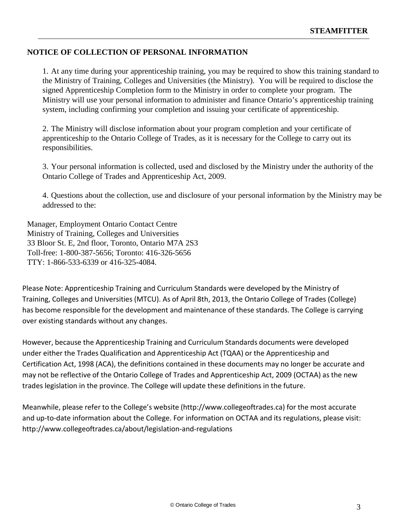#### **NOTICE OF COLLECTION OF PERSONAL INFORMATION**

1. At any time during your apprenticeship training, you may be required to show this training standard to the Ministry of Training, Colleges and Universities (the Ministry). You will be required to disclose the signed Apprenticeship Completion form to the Ministry in order to complete your program. The Ministry will use your personal information to administer and finance Ontario's apprenticeship training system, including confirming your completion and issuing your certificate of apprenticeship.

2. The Ministry will disclose information about your program completion and your certificate of apprenticeship to the Ontario College of Trades, as it is necessary for the College to carry out its responsibilities.

3. Your personal information is collected, used and disclosed by the Ministry under the authority of the Ontario College of Trades and Apprenticeship Act, 2009.

4. Questions about the collection, use and disclosure of your personal information by the Ministry may be addressed to the:

Manager, Employment Ontario Contact Centre Ministry of Training, Colleges and Universities 33 Bloor St. E, 2nd floor, Toronto, Ontario M7A 2S3 Toll-free: 1-800-387-5656; Toronto: 416-326-5656 TTY: 1-866-533-6339 or 416-325-4084.

Please Note: Apprenticeship Training and Curriculum Standards were developed by the Ministry of Training, Colleges and Universities (MTCU). As of April 8th, 2013, the Ontario College of Trades (College) has become responsible for the development and maintenance of these standards. The College is carrying over existing standards without any changes.

However, because the Apprenticeship Training and Curriculum Standards documents were developed under either the Trades Qualification and Apprenticeship Act (TQAA) or the Apprenticeship and Certification Act, 1998 (ACA), the definitions contained in these documents may no longer be accurate and may not be reflective of the Ontario College of Trades and Apprenticeship Act, 2009 (OCTAA) as the new trades legislation in the province. The College will update these definitions in the future.

Meanwhile, please refer to the College's website (http://www.collegeoftrades.ca) for the most accurate and up-to-date information about the College. For information on OCTAA and its regulations, please visit: <http://www.collegeoftrades.ca/about/legislation-and-regulations>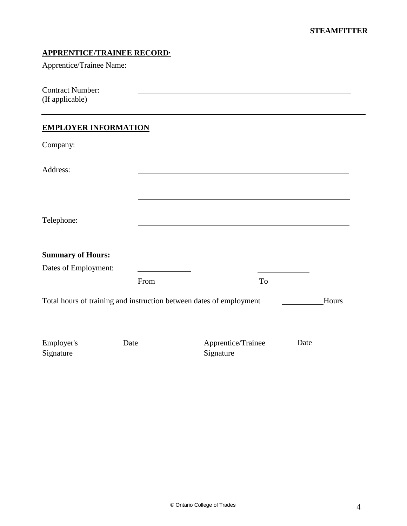<span id="page-6-1"></span><span id="page-6-0"></span>

| <b>APPRENTICE/TRAINEE RECORD.</b>                                   |      |                                                                                                                      |    |       |
|---------------------------------------------------------------------|------|----------------------------------------------------------------------------------------------------------------------|----|-------|
| Apprentice/Trainee Name:                                            |      | <u> 1980 - Jan Stein Stein Stein Stein Stein Stein Stein Stein Stein Stein Stein Stein Stein Stein Stein Stein S</u> |    |       |
| <b>Contract Number:</b><br>(If applicable)                          |      |                                                                                                                      |    |       |
| <b>EMPLOYER INFORMATION</b>                                         |      |                                                                                                                      |    |       |
| Company:                                                            |      |                                                                                                                      |    |       |
| Address:                                                            |      |                                                                                                                      |    |       |
| Telephone:                                                          |      |                                                                                                                      |    |       |
| <b>Summary of Hours:</b>                                            |      |                                                                                                                      |    |       |
| Dates of Employment:                                                |      |                                                                                                                      |    |       |
|                                                                     | From |                                                                                                                      | To |       |
| Total hours of training and instruction between dates of employment |      |                                                                                                                      |    | Hours |
| Employer's<br>Signature                                             | Date | Apprentice/Trainee<br>Signature                                                                                      |    | Date  |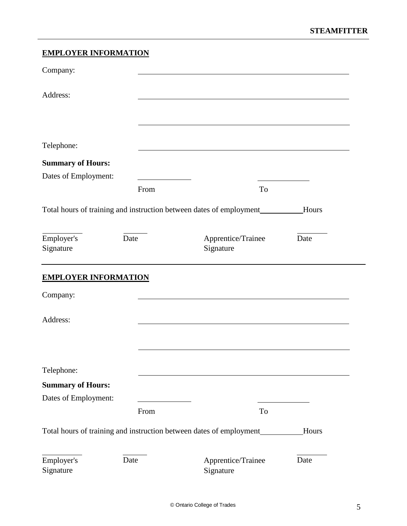# **EMPLOYER INFORMATION**

| Company:                    |      |                                                                      |       |
|-----------------------------|------|----------------------------------------------------------------------|-------|
| Address:                    |      |                                                                      |       |
|                             |      |                                                                      |       |
| Telephone:                  |      |                                                                      |       |
| <b>Summary of Hours:</b>    |      |                                                                      |       |
| Dates of Employment:        |      |                                                                      |       |
|                             | From | To                                                                   |       |
|                             |      | Total hours of training and instruction between dates of employment  | Hours |
| Employer's<br>Signature     | Date | Apprentice/Trainee<br>Signature                                      | Date  |
| <b>EMPLOYER INFORMATION</b> |      |                                                                      |       |
| Company:                    |      |                                                                      |       |
| Address:                    |      |                                                                      |       |
|                             |      |                                                                      |       |
| Telephone:                  |      |                                                                      |       |
| <b>Summary of Hours:</b>    |      |                                                                      |       |
| Dates of Employment:        |      |                                                                      |       |
|                             | From | To                                                                   |       |
|                             |      | Total hours of training and instruction between dates of employment_ | Hours |
| Employer's<br>Signature     | Date | Apprentice/Trainee<br>Signature                                      | Date  |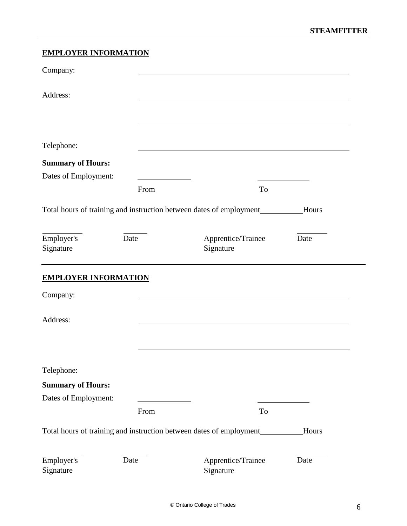### **EMPLOYER INFORMATION**

| Company:                    |      |                                                                      |              |
|-----------------------------|------|----------------------------------------------------------------------|--------------|
| Address:                    |      |                                                                      |              |
|                             |      |                                                                      |              |
| Telephone:                  |      |                                                                      |              |
| <b>Summary of Hours:</b>    |      |                                                                      |              |
| Dates of Employment:        |      |                                                                      |              |
|                             | From | To                                                                   |              |
|                             |      | Total hours of training and instruction between dates of employment_ | Hours        |
| Employer's<br>Signature     | Date | Apprentice/Trainee<br>Signature                                      | Date         |
| <b>EMPLOYER INFORMATION</b> |      |                                                                      |              |
| Company:                    |      |                                                                      |              |
| Address:                    |      |                                                                      |              |
|                             |      |                                                                      |              |
| Telephone:                  |      |                                                                      |              |
| <b>Summary of Hours:</b>    |      |                                                                      |              |
| Dates of Employment:        |      |                                                                      |              |
|                             | From | To                                                                   |              |
|                             |      | Total hours of training and instruction between dates of employment  | <b>Hours</b> |
| Employer's<br>Signature     | Date | Apprentice/Trainee<br>Signature                                      | Date         |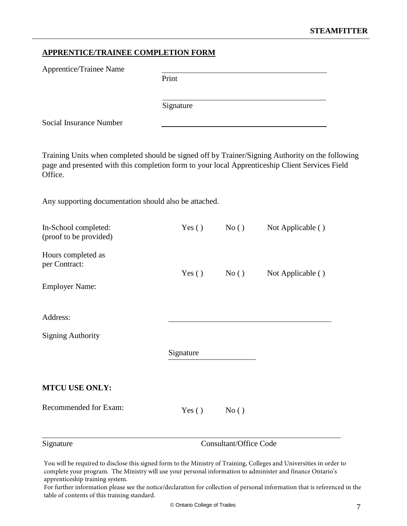# <span id="page-9-0"></span>**APPRENTICE/TRAINEE COMPLETION FORM**

| Apprentice/Trainee Name                                                                                                                                                                                        |           |                               |                   |
|----------------------------------------------------------------------------------------------------------------------------------------------------------------------------------------------------------------|-----------|-------------------------------|-------------------|
|                                                                                                                                                                                                                | Print     |                               |                   |
|                                                                                                                                                                                                                | Signature |                               |                   |
| Social Insurance Number                                                                                                                                                                                        |           |                               |                   |
| Training Units when completed should be signed off by Trainer/Signing Authority on the following<br>page and presented with this completion form to your local Apprenticeship Client Services Field<br>Office. |           |                               |                   |
| Any supporting documentation should also be attached.                                                                                                                                                          |           |                               |                   |
| In-School completed:<br>(proof to be provided)                                                                                                                                                                 | Yes $()$  | No()                          | Not Applicable () |
| Hours completed as<br>per Contract:<br><b>Employer Name:</b>                                                                                                                                                   | Yes $()$  | No()                          | Not Applicable () |
|                                                                                                                                                                                                                |           |                               |                   |
| Address:                                                                                                                                                                                                       |           |                               |                   |
| <b>Signing Authority</b>                                                                                                                                                                                       |           |                               |                   |
|                                                                                                                                                                                                                | Signature |                               |                   |
| <b>MTCU USE ONLY:</b>                                                                                                                                                                                          |           |                               |                   |
| Recommended for Exam:                                                                                                                                                                                          | Yes()     | No()                          |                   |
| Signature                                                                                                                                                                                                      |           | <b>Consultant/Office Code</b> |                   |

You will be required to disclose this signed form to the Ministry of Training, Colleges and Universities in order to complete your program. The Ministry will use your personal information to administer and finance Ontario's apprenticeship training system.

For further information please see the notice/declaration for collection of personal information that is referenced in the table of contents of this training standard.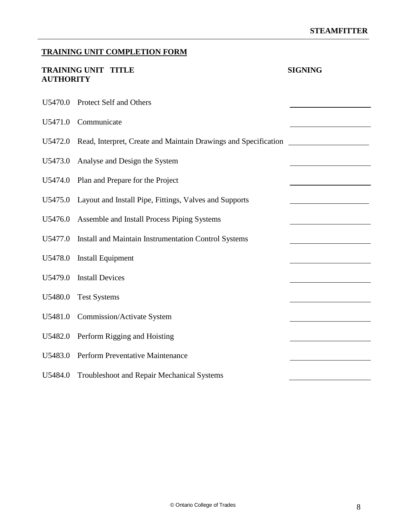# <span id="page-10-0"></span>**TRAINING UNIT COMPLETION FORM**

| <b>AUTHORITY</b> | <b>TRAINING UNIT TITLE</b>                                      | <b>SIGNING</b> |
|------------------|-----------------------------------------------------------------|----------------|
| U5470.0          | Protect Self and Others                                         |                |
| U5471.0          | Communicate                                                     |                |
| U5472.0          | Read, Interpret, Create and Maintain Drawings and Specification |                |
| U5473.0          | Analyse and Design the System                                   |                |
| U5474.0          | Plan and Prepare for the Project                                |                |
| U5475.0          | Layout and Install Pipe, Fittings, Valves and Supports          |                |
| U5476.0          | Assemble and Install Process Piping Systems                     |                |
| U5477.0          | Install and Maintain Instrumentation Control Systems            |                |
| U5478.0          | <b>Install Equipment</b>                                        |                |
| U5479.0          | <b>Install Devices</b>                                          |                |
| U5480.0          | <b>Test Systems</b>                                             |                |
| U5481.0          | <b>Commission/Activate System</b>                               |                |
| U5482.0          | Perform Rigging and Hoisting                                    |                |
| U5483.0          | Perform Preventative Maintenance                                |                |
| U5484.0          | Troubleshoot and Repair Mechanical Systems                      |                |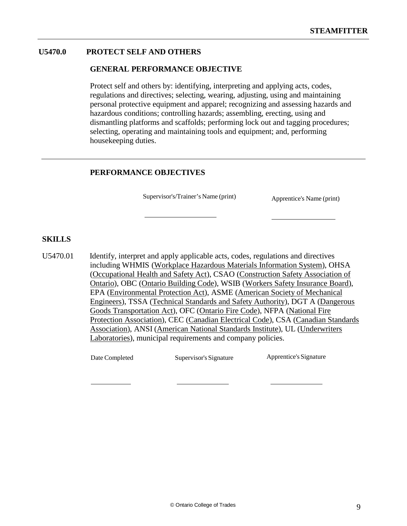#### **U5470.0 PROTECT SELF AND OTHERS**

#### **GENERAL PERFORMANCE OBJECTIVE**

Protect self and others by: identifying, interpreting and applying acts, codes, regulations and directives; selecting, wearing, adjusting, using and maintaining personal protective equipment and apparel; recognizing and assessing hazards and hazardous conditions; controlling hazards; assembling, erecting, using and dismantling platforms and scaffolds; performing lock out and tagging procedures; selecting, operating and maintaining tools and equipment; and, performing housekeeping duties.

#### **PERFORMANCE OBJECTIVES**

Supervisor's/Trainer's Name (print) Apprentice's Name (print)

#### **SKILLS**

U5470.01 Identify, interpret and apply applicable acts, codes, regulations and directives including WHMIS (Workplace Hazardous Materials Information System), OHSA (Occupational Health and Safety Act), CSAO (Construction Safety Association of Ontario), OBC (Ontario Building Code), WSIB (Workers Safety Insurance Board), EPA (Environmental Protection Act), ASME (American Society of Mechanical Engineers), TSSA (Technical Standards and Safety Authority), DGT A (Dangerous Goods Transportation Act), OFC (Ontario Fire Code), NFPA (National Fire Protection Association), CEC (Canadian Electrical Code), CSA (Canadian Standards Association), ANSI (American National Standards Institute), UL (Underwriters Laboratories), municipal requirements and company policies.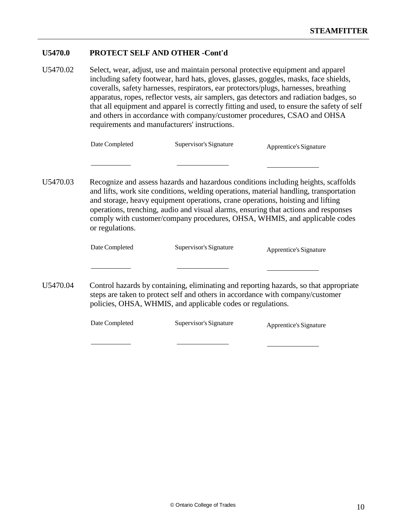#### **U5470.0 PROTECT SELF AND OTHER -Cont'd**

U5470.02 Select, wear, adjust, use and maintain personal protective equipment and apparel including safety footwear, hard hats, gloves, glasses, goggles, masks, face shields, coveralls, safety harnesses, respirators, ear protectors/plugs, harnesses, breathing apparatus, ropes, reflector vests, air samplers, gas detectors and radiation badges, so that all equipment and apparel is correctly fitting and used, to ensure the safety of self and others in accordance with company/customer procedures, CSAO and OHSA requirements and manufacturers' instructions.

U5470.03 Recognize and assess hazards and hazardous conditions including heights, scaffolds and lifts, work site conditions, welding operations, material handling, transportation and storage, heavy equipment operations, crane operations, hoisting and lifting operations, trenching, audio and visual alarms, ensuring that actions and responses comply with customer/company procedures, OHSA, WHMIS, and applicable codes or regulations.

|          | Date Completed | Supervisor's Signature                                                                                                                        | Apprentice's Signature                                                                |
|----------|----------------|-----------------------------------------------------------------------------------------------------------------------------------------------|---------------------------------------------------------------------------------------|
|          |                |                                                                                                                                               |                                                                                       |
| U5470.04 |                | steps are taken to protect self and others in accordance with company/customer<br>policies, OHSA, WHMIS, and applicable codes or regulations. | Control hazards by containing, eliminating and reporting hazards, so that appropriate |
|          | Date Completed | Supervisor's Signature                                                                                                                        | Apprentice's Signature                                                                |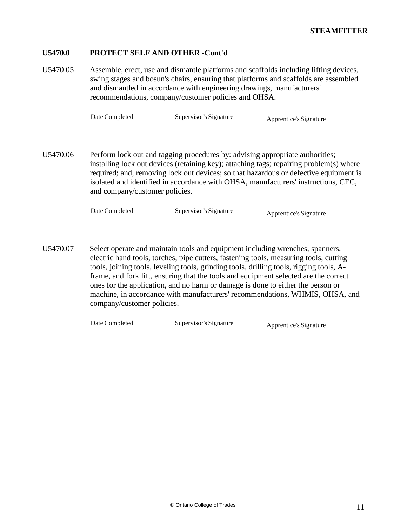#### **U5470.0 PROTECT SELF AND OTHER -Cont'd**

U5470.05 Assemble, erect, use and dismantle platforms and scaffolds including lifting devices, swing stages and bosun's chairs, ensuring that platforms and scaffolds are assembled and dismantled in accordance with engineering drawings, manufacturers' recommendations, company/customer policies and OHSA.

| Date Completed | Supervisor's Signature | Apprentice's Signature |
|----------------|------------------------|------------------------|
|----------------|------------------------|------------------------|

U5470.06 Perform lock out and tagging procedures by: advising appropriate authorities; installing lock out devices (retaining key); attaching tags; repairing problem(s) where required; and, removing lock out devices; so that hazardous or defective equipment is isolated and identified in accordance with OHSA, manufacturers' instructions, CEC, and company/customer policies.

| Date Completed | Supervisor's Signature | Apprentice's Signature |
|----------------|------------------------|------------------------|
|----------------|------------------------|------------------------|

U5470.07 Select operate and maintain tools and equipment including wrenches, spanners, electric hand tools, torches, pipe cutters, fastening tools, measuring tools, cutting tools, joining tools, leveling tools, grinding tools, drilling tools, rigging tools, Aframe, and fork lift, ensuring that the tools and equipment selected are the correct ones for the application, and no harm or damage is done to either the person or machine, in accordance with manufacturers' recommendations, WHMIS, OHSA, and company/customer policies.

| Date Completed | Supervisor's Signature | Apprentice's Signature |
|----------------|------------------------|------------------------|
|----------------|------------------------|------------------------|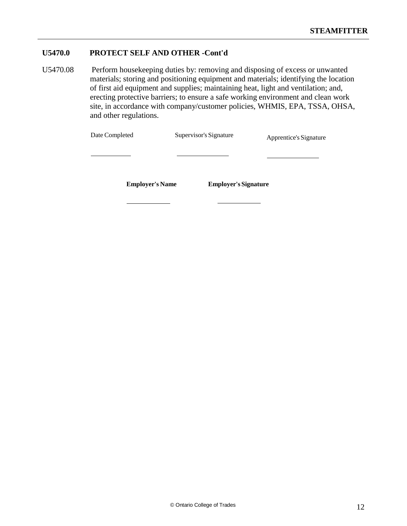#### **U5470.0 PROTECT SELF AND OTHER -Cont'd**

U5470.08 Perform housekeeping duties by: removing and disposing of excess or unwanted materials; storing and positioning equipment and materials; identifying the location of first aid equipment and supplies; maintaining heat, light and ventilation; and, erecting protective barriers; to ensure a safe working environment and clean work site, in accordance with company/customer policies, WHMIS, EPA, TSSA, OHSA, and other regulations.

| Date Completed | Supervisor's Signature | Apprentice's Signature |
|----------------|------------------------|------------------------|
|                |                        |                        |
|                |                        |                        |

**Employer's Name Employer's Signature**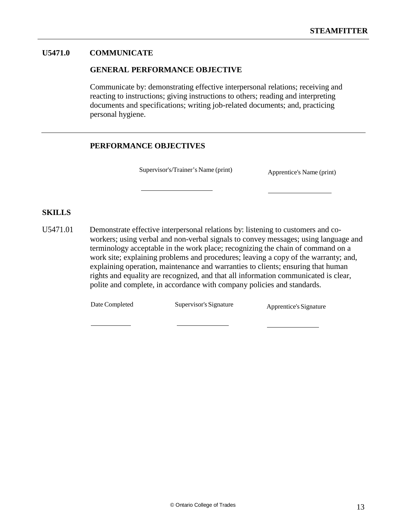#### **U5471.0 COMMUNICATE**

#### **GENERAL PERFORMANCE OBJECTIVE**

Communicate by: demonstrating effective interpersonal relations; receiving and reacting to instructions; giving instructions to others; reading and interpreting documents and specifications; writing job-related documents; and, practicing personal hygiene.

#### **PERFORMANCE OBJECTIVES**

Supervisor's/Trainer's Name (print) Apprentice's Name (print)

#### **SKILLS**

U5471.01 Demonstrate effective interpersonal relations by: listening to customers and coworkers; using verbal and non-verbal signals to convey messages; using language and terminology acceptable in the work place; recognizing the chain of command on a work site; explaining problems and procedures; leaving a copy of the warranty; and, explaining operation, maintenance and warranties to clients; ensuring that human rights and equality are recognized, and that all information communicated is clear, polite and complete, in accordance with company policies and standards.

Date Completed Supervisor's Signature Apprentice's Signature

© Ontario College of Trades 13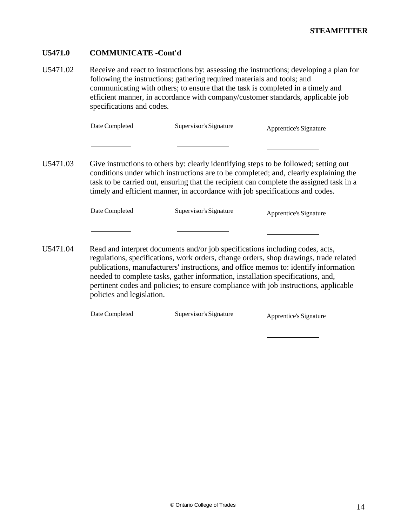#### **U5471.0 COMMUNICATE -Cont'd**

U5471.02 Receive and react to instructions by: assessing the instructions; developing a plan for following the instructions; gathering required materials and tools; and communicating with others; to ensure that the task is completed in a timely and efficient manner, in accordance with company/customer standards, applicable job specifications and codes.

| Date Completed | Supervisor's Signature | Apprentice's Signature |
|----------------|------------------------|------------------------|
|                |                        |                        |

U5471.03 Give instructions to others by: clearly identifying steps to be followed; setting out conditions under which instructions are to be completed; and, clearly explaining the task to be carried out, ensuring that the recipient can complete the assigned task in a timely and efficient manner, in accordance with job specifications and codes.

| Date Completed | Supervisor's Signature | Apprentice's Signature |
|----------------|------------------------|------------------------|
|----------------|------------------------|------------------------|

U5471.04 Read and interpret documents and/or job specifications including codes, acts, regulations, specifications, work orders, change orders, shop drawings, trade related publications, manufacturers' instructions, and office memos to: identify information needed to complete tasks, gather information, installation specifications, and, pertinent codes and policies; to ensure compliance with job instructions, applicable policies and legislation.

| Date Completed | Supervisor's Signature | Apprentice's Signature |
|----------------|------------------------|------------------------|
|----------------|------------------------|------------------------|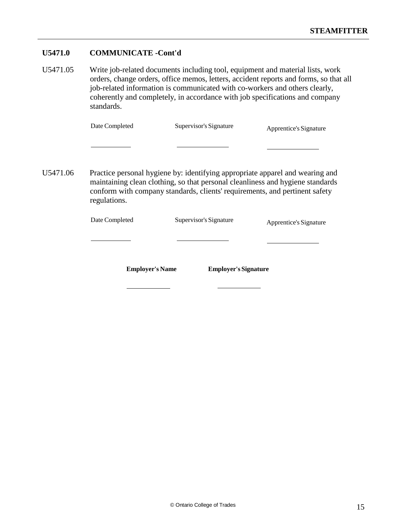#### **U5471.0 COMMUNICATE -Cont'd**

U5471.05 Write job-related documents including tool, equipment and material lists, work orders, change orders, office memos, letters, accident reports and forms, so that all job-related information is communicated with co-workers and others clearly, coherently and completely, in accordance with job specifications and company standards.

| Supervisor's Signature<br>Date Completed | Apprentice's Signature |
|------------------------------------------|------------------------|
|------------------------------------------|------------------------|

U5471.06 Practice personal hygiene by: identifying appropriate apparel and wearing and maintaining clean clothing, so that personal cleanliness and hygiene standards conform with company standards, clients' requirements, and pertinent safety regulations.

Date Completed Supervisor's Signature Apprentice's Signature

**Employer's Name Employer's Signature**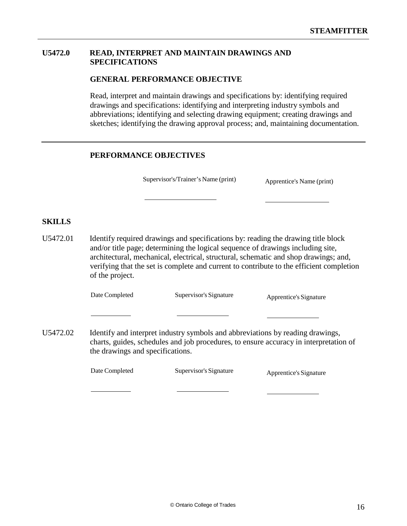#### **U5472.0 READ, INTERPRET AND MAINTAIN DRAWINGS AND SPECIFICATIONS**

#### **GENERAL PERFORMANCE OBJECTIVE**

Read, interpret and maintain drawings and specifications by: identifying required drawings and specifications: identifying and interpreting industry symbols and abbreviations; identifying and selecting drawing equipment; creating drawings and sketches; identifying the drawing approval process; and, maintaining documentation.

#### **PERFORMANCE OBJECTIVES**

Supervisor's/Trainer's Name (print) Apprentice's Name (print)

#### **SKILLS**

U5472.01 Identify required drawings and specifications by: reading the drawing title block and/or title page; determining the logical sequence of drawings including site, architectural, mechanical, electrical, structural, schematic and shop drawings; and, verifying that the set is complete and current to contribute to the efficient completion of the project.

Date Completed Supervisor's Signature Apprentice's Signature

U5472.02 Identify and interpret industry symbols and abbreviations by reading drawings, charts, guides, schedules and job procedures, to ensure accuracy in interpretation of the drawings and specifications.

| Date Completed | Supervisor's Signature | Apprentice's Signature |
|----------------|------------------------|------------------------|
|----------------|------------------------|------------------------|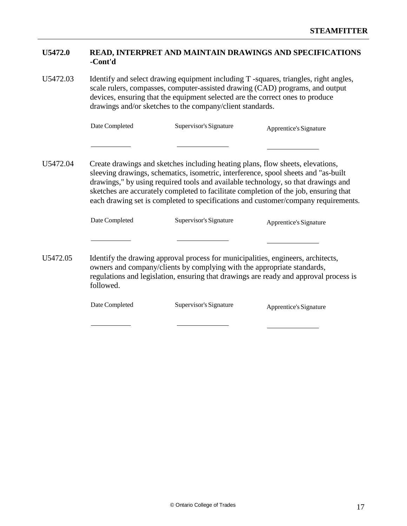| <b>U5472.0</b> | READ, INTERPRET AND MAINTAIN DRAWINGS AND SPECIFICATIONS |
|----------------|----------------------------------------------------------|
|                | -Cont'd                                                  |

U5472.03 Identify and select drawing equipment including T -squares, triangles, right angles, scale rulers, compasses, computer-assisted drawing (CAD) programs, and output devices, ensuring that the equipment selected are the correct ones to produce drawings and/or sketches to the company/client standards.

| Date Completed | Supervisor's Signature | Apprentice's Signature |
|----------------|------------------------|------------------------|
|                |                        |                        |

U5472.04 Create drawings and sketches including heating plans, flow sheets, elevations, sleeving drawings, schematics, isometric, interference, spool sheets and "as-built drawings," by using required tools and available technology, so that drawings and sketches are accurately completed to facilitate completion of the job, ensuring that each drawing set is completed to specifications and customer/company requirements.

| Date Completed | Supervisor's Signature | Apprentice's Signature |
|----------------|------------------------|------------------------|
|                |                        |                        |

U5472.05 Identify the drawing approval process for municipalities, engineers, architects, owners and company/clients by complying with the appropriate standards, regulations and legislation, ensuring that drawings are ready and approval process is followed.

| Date Completed | Supervisor's Signature | Apprentice's Signature |
|----------------|------------------------|------------------------|
|----------------|------------------------|------------------------|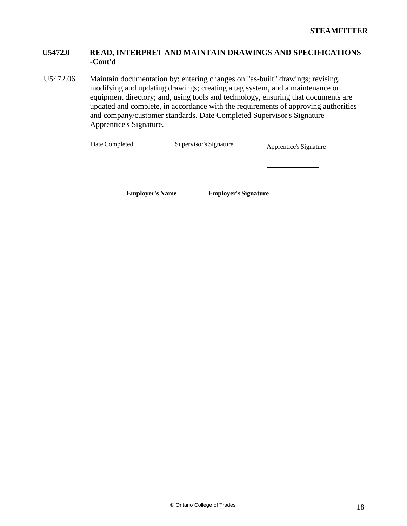## **U5472.0 READ, INTERPRET AND MAINTAIN DRAWINGS AND SPECIFICATIONS -Cont'd**

U5472.06 Maintain documentation by: entering changes on "as-built" drawings; revising, modifying and updating drawings; creating a tag system, and a maintenance or equipment directory; and, using tools and technology, ensuring that documents are updated and complete, in accordance with the requirements of approving authorities and company/customer standards. Date Completed Supervisor's Signature Apprentice's Signature.

| Date Completed         | Supervisor's Signature      | Apprentice's Signature |
|------------------------|-----------------------------|------------------------|
|                        |                             |                        |
| <b>Employer's Name</b> | <b>Employer's Signature</b> |                        |
|                        |                             |                        |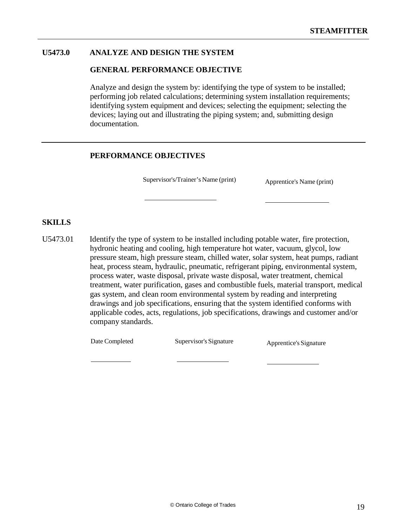#### **U5473.0 ANALYZE AND DESIGN THE SYSTEM**

#### **GENERAL PERFORMANCE OBJECTIVE**

Analyze and design the system by: identifying the type of system to be installed; performing job related calculations; determining system installation requirements; identifying system equipment and devices; selecting the equipment; selecting the devices; laying out and illustrating the piping system; and, submitting design documentation.

#### **PERFORMANCE OBJECTIVES**

Supervisor's/Trainer's Name (print) Apprentice's Name (print)

#### **SKILLS**

U5473.01 Identify the type of system to be installed including potable water, fire protection, hydronic heating and cooling, high temperature hot water, vacuum, glycol, low pressure steam, high pressure steam, chilled water, solar system, heat pumps, radiant heat, process steam, hydraulic, pneumatic, refrigerant piping, environmental system, process water, waste disposal, private waste disposal, water treatment, chemical treatment, water purification, gases and combustible fuels, material transport, medical gas system, and clean room environmental system by reading and interpreting drawings and job specifications, ensuring that the system identified conforms with applicable codes, acts, regulations, job specifications, drawings and customer and/or company standards.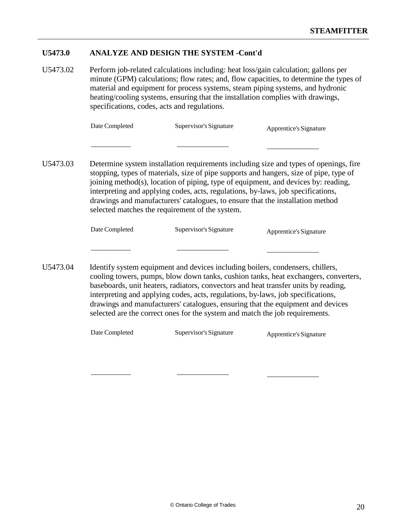#### **U5473.0 ANALYZE AND DESIGN THE SYSTEM -Cont'd**

U5473.02 Perform job-related calculations including: heat loss/gain calculation; gallons per minute (GPM) calculations; flow rates; and, flow capacities, to determine the types of material and equipment for process systems, steam piping systems, and hydronic heating/cooling systems, ensuring that the installation complies with drawings, specifications, codes, acts and regulations.

| Date Completed | Supervisor's Signature | Apprentice's Signature |
|----------------|------------------------|------------------------|
|----------------|------------------------|------------------------|

U5473.03 Determine system installation requirements including size and types of openings, fire stopping, types of materials, size of pipe supports and hangers, size of pipe, type of joining method(s), location of piping, type of equipment, and devices by: reading, interpreting and applying codes, acts, regulations, by-laws, job specifications, drawings and manufacturers' catalogues, to ensure that the installation method selected matches the requirement of the system.

| Date Completed |  | Supervisor's Sig |  |  |
|----------------|--|------------------|--|--|
|                |  |                  |  |  |

gnature Apprentice's Signature

U5473.04 Identify system equipment and devices including boilers, condensers, chillers, cooling towers, pumps, blow down tanks, cushion tanks, heat exchangers, converters, baseboards, unit heaters, radiators, convectors and heat transfer units by reading, interpreting and applying codes, acts, regulations, by-laws, job specifications, drawings and manufacturers' catalogues, ensuring that the equipment and devices selected are the correct ones for the system and match the job requirements.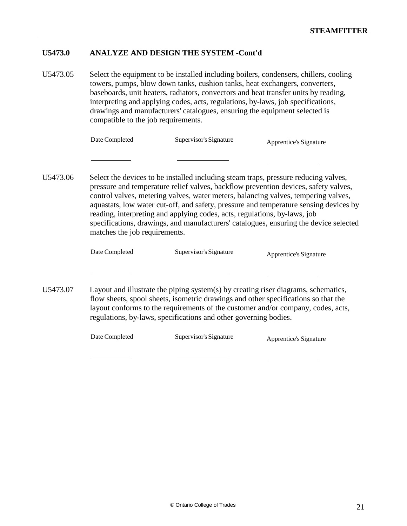#### **U5473.0 ANALYZE AND DESIGN THE SYSTEM -Cont'd**

U5473.05 Select the equipment to be installed including boilers, condensers, chillers, cooling towers, pumps, blow down tanks, cushion tanks, heat exchangers, converters, baseboards, unit heaters, radiators, convectors and heat transfer units by reading, interpreting and applying codes, acts, regulations, by-laws, job specifications, drawings and manufacturers' catalogues, ensuring the equipment selected is compatible to the job requirements.

| Date Completed | Supervisor's Signature | Apprentice's Signature |
|----------------|------------------------|------------------------|
|                |                        |                        |

U5473.06 Select the devices to be installed including steam traps, pressure reducing valves, pressure and temperature relief valves, backflow prevention devices, safety valves, control valves, metering valves, water meters, balancing valves, tempering valves, aquastats, low water cut-off, and safety, pressure and temperature sensing devices by reading, interpreting and applying codes, acts, regulations, by-laws, job specifications, drawings, and manufacturers' catalogues, ensuring the device selected matches the job requirements.

Date Completed Supervisor's Signature Apprentice's Signature

U5473.07 Layout and illustrate the piping system(s) by creating riser diagrams, schematics, flow sheets, spool sheets, isometric drawings and other specifications so that the layout conforms to the requirements of the customer and/or company, codes, acts, regulations, by-laws, specifications and other governing bodies.

| Date Completed | Supervisor's Signature | Apprentice's Signature |
|----------------|------------------------|------------------------|
|                |                        |                        |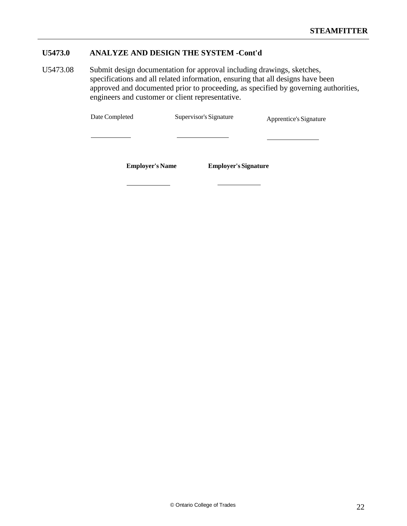# **U5473.0 ANALYZE AND DESIGN THE SYSTEM -Cont'd**

U5473.08 Submit design documentation for approval including drawings, sketches, specifications and all related information, ensuring that all designs have been approved and documented prior to proceeding, as specified by governing authorities, engineers and customer or client representative.

| Date Completed | Supervisor's Signature | Apprentice's Signature |
|----------------|------------------------|------------------------|
|                |                        |                        |

**Employer's Name Employer's Signature**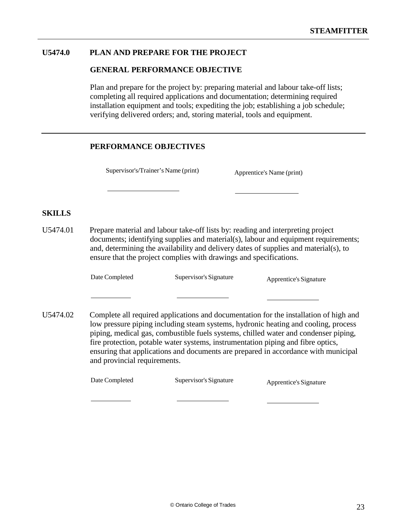#### **U5474.0 PLAN AND PREPARE FOR THE PROJECT**

#### **GENERAL PERFORMANCE OBJECTIVE**

Plan and prepare for the project by: preparing material and labour take-off lists; completing all required applications and documentation; determining required installation equipment and tools; expediting the job; establishing a job schedule; verifying delivered orders; and, storing material, tools and equipment.

#### **PERFORMANCE OBJECTIVES**

Supervisor's/Trainer's Name (print) Apprentice's Name (print)

#### **SKILLS**

U5474.01 Prepare material and labour take-off lists by: reading and interpreting project documents; identifying supplies and material(s), labour and equipment requirements; and, determining the availability and delivery dates of supplies and material(s), to ensure that the project complies with drawings and specifications.

Date Completed Supervisor's Signature Apprentice's Signature

U5474.02 Complete all required applications and documentation for the installation of high and low pressure piping including steam systems, hydronic heating and cooling, process piping, medical gas, combustible fuels systems, chilled water and condenser piping, fire protection, potable water systems, instrumentation piping and fibre optics, ensuring that applications and documents are prepared in accordance with municipal and provincial requirements.

| Date Completed | Supervisor's Signature | Apprentice's Signature |
|----------------|------------------------|------------------------|
|----------------|------------------------|------------------------|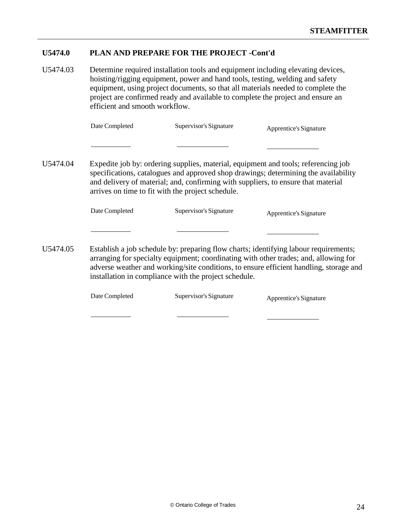#### **U5474.0 PLAN AND PREPARE FOR THE PROJECT -Cont'd**

U5474.03 Determine required installation tools and equipment including elevating devices, hoisting/rigging equipment, power and hand tools, testing, welding and safety equipment, using project documents, so that all materials needed to complete the project are confirmed ready and available to complete the project and ensure an efficient and smooth workflow.

|          | Date Completed | Supervisor's Signature | Apprentice's Signature                                                             |
|----------|----------------|------------------------|------------------------------------------------------------------------------------|
|          |                |                        |                                                                                    |
| U5474.04 |                |                        | Expedite job by: ordering supplies, material, equipment and tools; referencing job |

specifications, catalogues and approved shop drawings; determining the availability and delivery of material; and, confirming with suppliers, to ensure that material arrives on time to fit with the project schedule.

| Date Completed | Supervisor's Signature | Apprentice's Signature |
|----------------|------------------------|------------------------|
|                |                        |                        |

U5474.05 Establish a job schedule by: preparing flow charts; identifying labour requirements; arranging for specialty equipment; coordinating with other trades; and, allowing for adverse weather and working/site conditions, to ensure efficient handling, storage and installation in compliance with the project schedule.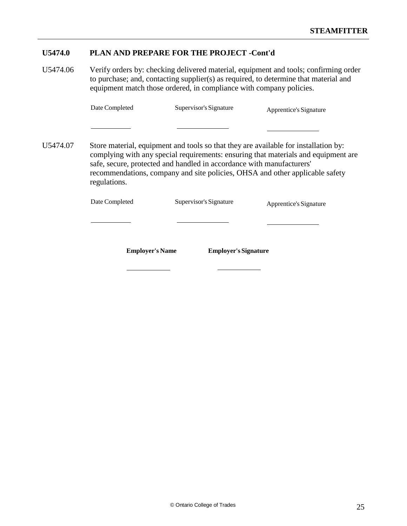#### **U5474.0 PLAN AND PREPARE FOR THE PROJECT -Cont'd**

U5474.06 Verify orders by: checking delivered material, equipment and tools; confirming order to purchase; and, contacting supplier(s) as required, to determine that material and equipment match those ordered, in compliance with company policies.

| Date Completed | Supervisor's Signature |
|----------------|------------------------|
|                |                        |

Apprentice's Signature

U5474.07 Store material, equipment and tools so that they are available for installation by: complying with any special requirements: ensuring that materials and equipment are safe, secure, protected and handled in accordance with manufacturers' recommendations, company and site policies, OHSA and other applicable safety regulations.

| <b>Employer's Name</b> | <b>Employer's Signature</b> |                        |
|------------------------|-----------------------------|------------------------|
|                        |                             |                        |
| Date Completed         | Supervisor's Signature      | Apprentice's Signature |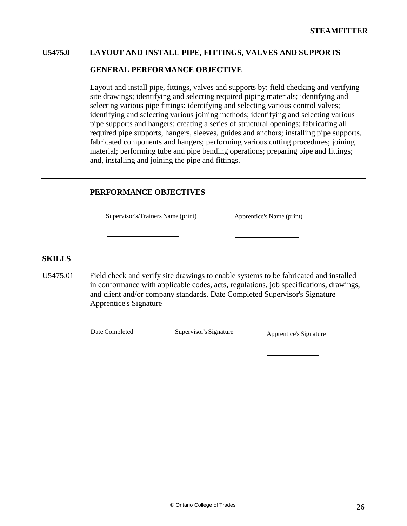#### **U5475.0 LAYOUT AND INSTALL PIPE, FITTINGS, VALVES AND SUPPORTS**

#### **GENERAL PERFORMANCE OBJECTIVE**

Layout and install pipe, fittings, valves and supports by: field checking and verifying site drawings; identifying and selecting required piping materials; identifying and selecting various pipe fittings: identifying and selecting various control valves; identifying and selecting various joining methods; identifying and selecting various pipe supports and hangers; creating a series of structural openings; fabricating all required pipe supports, hangers, sleeves, guides and anchors; installing pipe supports, fabricated components and hangers; performing various cutting procedures; joining material; performing tube and pipe bending operations; preparing pipe and fittings; and, installing and joining the pipe and fittings.

#### **PERFORMANCE OBJECTIVES**

Supervisor's/Trainers Name (print) Apprentice's Name (print)

#### **SKILLS**

U5475.01 Field check and verify site drawings to enable systems to be fabricated and installed in conformance with applicable codes, acts, regulations, job specifications, drawings, and client and/or company standards. Date Completed Supervisor's Signature Apprentice's Signature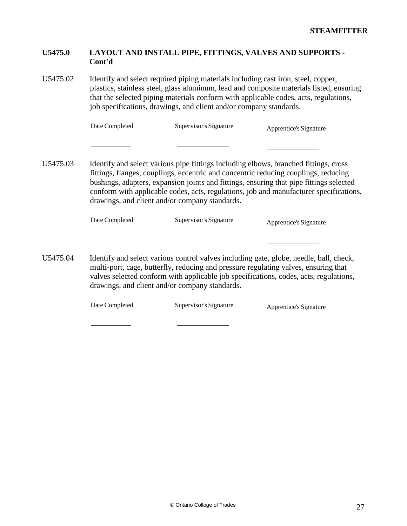#### **U5475.0 LAYOUT AND INSTALL PIPE, FITTINGS, VALVES AND SUPPORTS - Cont'd**

U5475.02 Identify and select required piping materials including cast iron, steel, copper, plastics, stainless steel, glass aluminum, lead and composite materials listed, ensuring that the selected piping materials conform with applicable codes, acts, regulations, job specifications, drawings, and client and/or company standards.

| Date Completed | Supervisor's Signature | Apprentice's Signature |
|----------------|------------------------|------------------------|
|                |                        |                        |

U5475.03 Identify and select various pipe fittings including elbows, branched fittings, cross fittings, flanges, couplings, eccentric and concentric reducing couplings, reducing bushings, adapters, expansion joints and fittings, ensuring that pipe fittings selected conform with applicable codes, acts, regulations, job and manufacturer specifications, drawings, and client and/or company standards.

| Date Completed | Supervisor's Signature | Apprentice's Signature |
|----------------|------------------------|------------------------|
|                |                        |                        |

U5475.04 Identify and select various control valves including gate, globe, needle, ball, check, multi-port, cage, butterfly, reducing and pressure regulating valves, ensuring that valves selected conform with applicable job specifications, codes, acts, regulations, drawings, and client and/or company standards.

| Date Completed | Supervisor's Signature | Apprentice's Signature |
|----------------|------------------------|------------------------|
|                |                        |                        |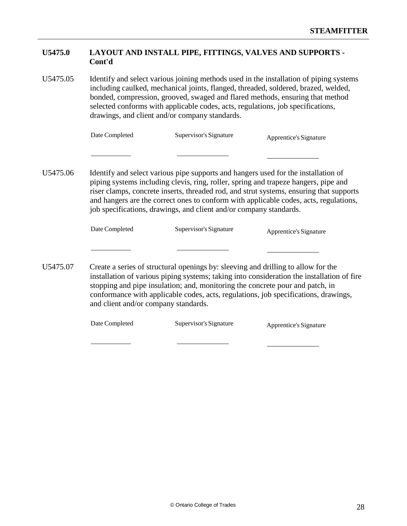#### **U5475.0 LAYOUT AND INSTALL PIPE, FITTINGS, VALVES AND SUPPORTS - Cont'd**

U5475.05 Identify and select various joining methods used in the installation of piping systems including caulked, mechanical joints, flanged, threaded, soldered, brazed, welded, bonded, compression, grooved, swaged and flared methods, ensuring that method selected conforms with applicable codes, acts, regulations, job specifications, drawings, and client and/or company standards.

|          | Date Completed | Supervisor's Signature | Apprentice's Signature                                                                                                                                                                                                                                                                                                                                        |
|----------|----------------|------------------------|---------------------------------------------------------------------------------------------------------------------------------------------------------------------------------------------------------------------------------------------------------------------------------------------------------------------------------------------------------------|
|          |                |                        |                                                                                                                                                                                                                                                                                                                                                               |
| U5475.06 |                |                        | Identify and select various pipe supports and hangers used for the installation of<br>piping systems including clevis, ring, roller, spring and trapeze hangers, pipe and<br>riser clamps, concrete inserts, threaded rod, and strut systems, ensuring that supports<br>and hangers are the correct ones to conform with applicable codes, acts, regulations, |

| Date Completed | Supervisor's Signature | Apprentice's Signature |
|----------------|------------------------|------------------------|
|                |                        |                        |

job specifications, drawings, and client and/or company standards.

U5475.07 Create a series of structural openings by: sleeving and drilling to allow for the installation of various piping systems; taking into consideration the installation of fire stopping and pipe insulation; and, monitoring the concrete pour and patch, in conformance with applicable codes, acts, regulations, job specifications, drawings, and client and/or company standards.

| Date Completed | Supervisor's Signature | Apprentice's Signature |
|----------------|------------------------|------------------------|
|----------------|------------------------|------------------------|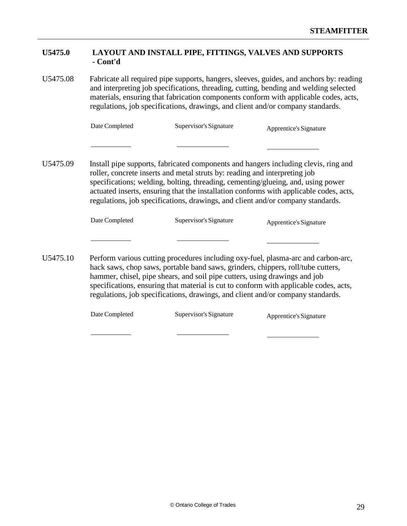#### **U5475.0 LAYOUT AND INSTALL PIPE, FITTINGS, VALVES AND SUPPORTS - Cont'd**

U5475.08 Fabricate all required pipe supports, hangers, sleeves, guides, and anchors by: reading and interpreting job specifications, threading, cutting, bending and welding selected materials, ensuring that fabrication components conform with applicable codes, acts, regulations, job specifications, drawings, and client and/or company standards.

|          | Date Completed | Supervisor's Signature                                                                                                                                        | Apprentice's Signature                                                                                                                                                                                                                                            |
|----------|----------------|---------------------------------------------------------------------------------------------------------------------------------------------------------------|-------------------------------------------------------------------------------------------------------------------------------------------------------------------------------------------------------------------------------------------------------------------|
|          |                |                                                                                                                                                               |                                                                                                                                                                                                                                                                   |
| U5475.09 |                | roller, concrete inserts and metal struts by: reading and interpreting job<br>regulations, job specifications, drawings, and client and/or company standards. | Install pipe supports, fabricated components and hangers including clevis, ring and<br>specifications; welding, bolting, threading, cementing/glueing, and, using power<br>actuated inserts, ensuring that the installation conforms with applicable codes, acts, |

```
Date Completed Supervisor's Signature Apprentice's Signature
```
U5475.10 Perform various cutting procedures including oxy-fuel, plasma-arc and carbon-arc, hack saws, chop saws, portable band saws, grinders, chippers, roll/tube cutters, hammer, chisel, pipe shears, and soil pipe cutters, using drawings and job specifications, ensuring that material is cut to conform with applicable codes, acts, regulations, job specifications, drawings, and client and/or company standards.

| Date Completed | Supervisor's Signature | Apprentice's Signature |
|----------------|------------------------|------------------------|
|----------------|------------------------|------------------------|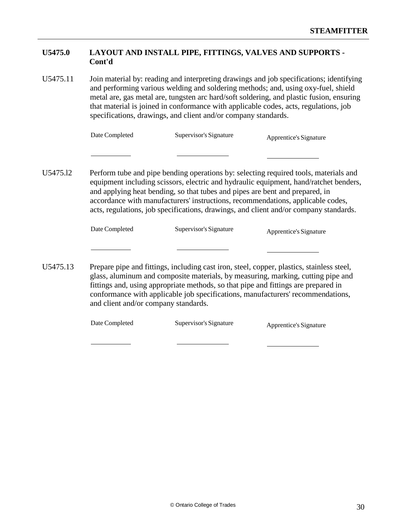#### **U5475.0 LAYOUT AND INSTALL PIPE, FITTINGS, VALVES AND SUPPORTS - Cont'd**

U5475.11 Join material by: reading and interpreting drawings and job specifications; identifying and performing various welding and soldering methods; and, using oxy-fuel, shield metal are, gas metal are, tungsten arc hard/soft soldering, and plastic fusion, ensuring that material is joined in conformance with applicable codes, acts, regulations, job specifications, drawings, and client and/or company standards.

| Date Completed | Supervisor's Signature | Apprentice's Signature |
|----------------|------------------------|------------------------|
|                |                        |                        |

U5475.l2 Perform tube and pipe bending operations by: selecting required tools, materials and equipment including scissors, electric and hydraulic equipment, hand/ratchet benders, and applying heat bending, so that tubes and pipes are bent and prepared, in accordance with manufacturers' instructions, recommendations, applicable codes, acts, regulations, job specifications, drawings, and client and/or company standards.

| Date Completed<br>Supervisor's Signature | Apprentice's Signature |
|------------------------------------------|------------------------|
|------------------------------------------|------------------------|

U5475.13 Prepare pipe and fittings, including cast iron, steel, copper, plastics, stainless steel, glass, aluminum and composite materials, by measuring, marking, cutting pipe and fittings and, using appropriate methods, so that pipe and fittings are prepared in conformance with applicable job specifications, manufacturers' recommendations, and client and/or company standards.

| Date Completed | Supervisor's Signature | Apprentice's Signature |
|----------------|------------------------|------------------------|
|----------------|------------------------|------------------------|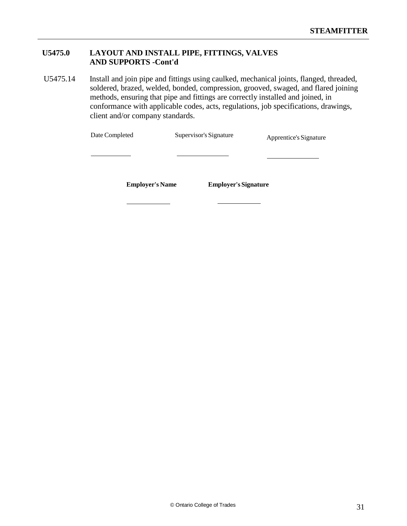### **U5475.0 LAYOUT AND INSTALL PIPE, FITTINGS, VALVES AND SUPPORTS -Cont'd**

U5475.14 Install and join pipe and fittings using caulked, mechanical joints, flanged, threaded, soldered, brazed, welded, bonded, compression, grooved, swaged, and flared joining methods, ensuring that pipe and fittings are correctly installed and joined, in conformance with applicable codes, acts, regulations, job specifications, drawings, client and/or company standards.

| Date Completed         | Supervisor's Signature      | Apprentice's Signature |
|------------------------|-----------------------------|------------------------|
|                        |                             |                        |
|                        |                             |                        |
| <b>Employer's Name</b> | <b>Employer's Signature</b> |                        |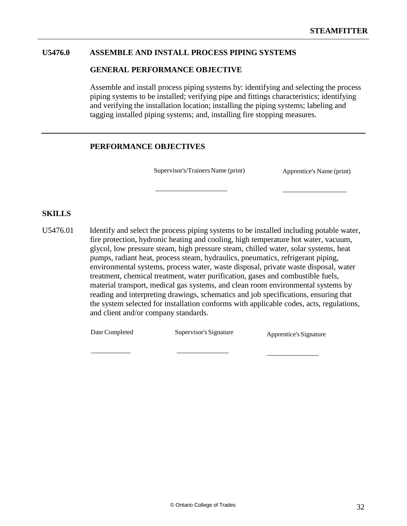#### **U5476.0 ASSEMBLE AND INSTALL PROCESS PIPING SYSTEMS**

#### **GENERAL PERFORMANCE OBJECTIVE**

Assemble and install process piping systems by: identifying and selecting the process piping systems to be installed; verifying pipe and fittings characteristics; identifying and verifying the installation location; installing the piping systems; labeling and tagging installed piping systems; and, installing fire stopping measures.

#### **PERFORMANCE OBJECTIVES**

Supervisor's/Trainers Name (print) Apprentice's Name (print)

#### **SKILLS**

U5476.01 Identify and select the process piping systems to be installed including potable water, fire protection, hydronic heating and cooling, high temperature hot water, vacuum, glycol, low pressure steam, high pressure steam, chilled water, solar systems, heat pumps, radiant heat, process steam, hydraulics, pneumatics, refrigerant piping, environmental systems, process water, waste disposal, private waste disposal, water treatment, chemical treatment, water purification, gases and combustible fuels, material transport, medical gas systems, and clean room environmental systems by reading and interpreting drawings, schematics and job specifications, ensuring that the system selected for installation conforms with applicable codes, acts, regulations, and client and/or company standards.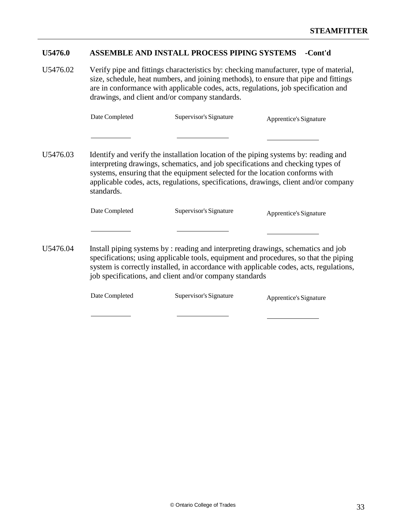#### **U5476.0 ASSEMBLE AND INSTALL PROCESS PIPING SYSTEMS -Cont'd**

U5476.02 Verify pipe and fittings characteristics by: checking manufacturer, type of material, size, schedule, heat numbers, and joining methods), to ensure that pipe and fittings are in conformance with applicable codes, acts, regulations, job specification and drawings, and client and/or company standards.

| Date Completed | Supervisor's Signature | Apprentice's Signature |
|----------------|------------------------|------------------------|
|----------------|------------------------|------------------------|

U5476.03 Identify and verify the installation location of the piping systems by: reading and interpreting drawings, schematics, and job specifications and checking types of systems, ensuring that the equipment selected for the location conforms with applicable codes, acts, regulations, specifications, drawings, client and/or company standards.

| Date Completed | Supervisor's Signature | Apprentice's Signature |
|----------------|------------------------|------------------------|
|                |                        |                        |

U5476.04 Install piping systems by : reading and interpreting drawings, schematics and job specifications; using applicable tools, equipment and procedures, so that the piping system is correctly installed, in accordance with applicable codes, acts, regulations, job specifications, and client and/or company standards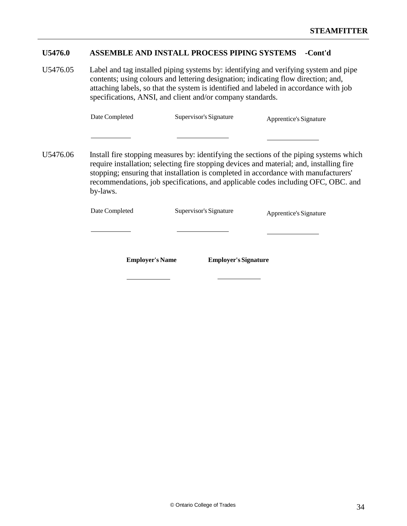# **U5476.0 ASSEMBLE AND INSTALL PROCESS PIPING SYSTEMS -Cont'd**

U5476.05 Label and tag installed piping systems by: identifying and verifying system and pipe contents; using colours and lettering designation; indicating flow direction; and, attaching labels, so that the system is identified and labeled in accordance with job specifications, ANSI, and client and/or company standards.

| Date Completed | Supervisor's Signature | Apprentice's Signature |
|----------------|------------------------|------------------------|
|----------------|------------------------|------------------------|

U5476.06 Install fire stopping measures by: identifying the sections of the piping systems which require installation; selecting fire stopping devices and material; and, installing fire stopping; ensuring that installation is completed in accordance with manufacturers' recommendations, job specifications, and applicable codes including OFC, OBC. and by-laws.

| Date Completed         | Supervisor's Signature      | Apprentice's Signature |
|------------------------|-----------------------------|------------------------|
|                        |                             |                        |
| <b>Employer's Name</b> | <b>Employer's Signature</b> |                        |
|                        |                             |                        |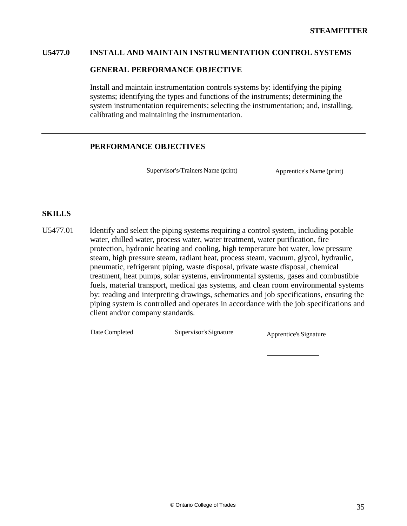# **U5477.0 INSTALL AND MAINTAIN INSTRUMENTATION CONTROL SYSTEMS**

#### **GENERAL PERFORMANCE OBJECTIVE**

Install and maintain instrumentation controls systems by: identifying the piping systems; identifying the types and functions of the instruments; determining the system instrumentation requirements; selecting the instrumentation; and, installing, calibrating and maintaining the instrumentation.

# **PERFORMANCE OBJECTIVES**

Supervisor's/Trainers Name (print) Apprentice's Name (print)

### **SKILLS**

U5477.01 Identify and select the piping systems requiring a control system, including potable water, chilled water, process water, water treatment, water purification, fire protection, hydronic heating and cooling, high temperature hot water, low pressure steam, high pressure steam, radiant heat, process steam, vacuum, glycol, hydraulic, pneumatic, refrigerant piping, waste disposal, private waste disposal, chemical treatment, heat pumps, solar systems, environmental systems, gases and combustible fuels, material transport, medical gas systems, and clean room environmental systems by: reading and interpreting drawings, schematics and job specifications, ensuring the piping system is controlled and operates in accordance with the job specifications and client and/or company standards.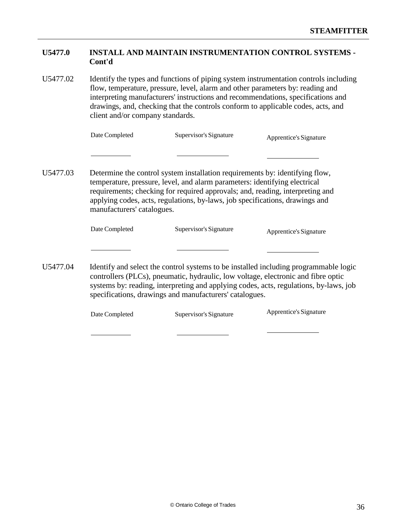# **U5477.0 INSTALL AND MAINTAIN INSTRUMENTATION CONTROL SYSTEMS - Cont'd**

U5477.02 Identify the types and functions of piping system instrumentation controls including flow, temperature, pressure, level, alarm and other parameters by: reading and interpreting manufacturers' instructions and recommendations, specifications and drawings, and, checking that the controls conform to applicable codes, acts, and client and/or company standards.

| Date Completed | Supervisor's Signature | Apprentice's Signature |
|----------------|------------------------|------------------------|
|                |                        |                        |

U5477.03 Determine the control system installation requirements by: identifying flow, temperature, pressure, level, and alarm parameters: identifying electrical requirements; checking for required approvals; and, reading, interpreting and applying codes, acts, regulations, by-laws, job specifications, drawings and manufacturers' catalogues.

| Date Completed | Supervisor's Signature | Apprentice's Signature |
|----------------|------------------------|------------------------|
|----------------|------------------------|------------------------|

U5477.04 Identify and select the control systems to be installed including programmable logic controllers (PLCs), pneumatic, hydraulic, low voltage, electronic and fibre optic systems by: reading, interpreting and applying codes, acts, regulations, by-laws, job specifications, drawings and manufacturers' catalogues.

| Date Completed | Supervisor's Signature | Apprentice's Signature |
|----------------|------------------------|------------------------|
|                |                        |                        |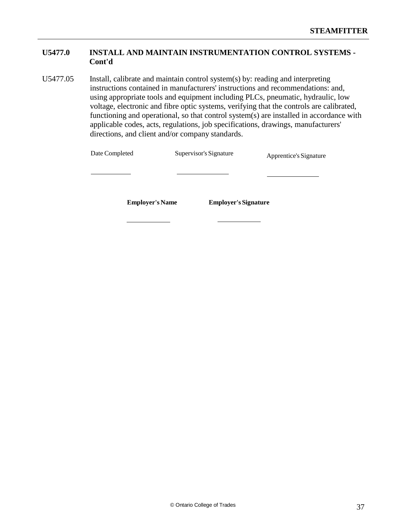# **U5477.0 INSTALL AND MAINTAIN INSTRUMENTATION CONTROL SYSTEMS - Cont'd**

U5477.05 Install, calibrate and maintain control system(s) by: reading and interpreting instructions contained in manufacturers' instructions and recommendations: and, using appropriate tools and equipment including PLCs, pneumatic, hydraulic, low voltage, electronic and fibre optic systems, verifying that the controls are calibrated, functioning and operational, so that control system(s) are installed in accordance with applicable codes, acts, regulations, job specifications, drawings, manufacturers' directions, and client and/or company standards.

| Date Completed         | Supervisor's Signature      | Apprentice's Signature |
|------------------------|-----------------------------|------------------------|
|                        |                             |                        |
| <b>Employer's Name</b> | <b>Employer's Signature</b> |                        |
|                        |                             |                        |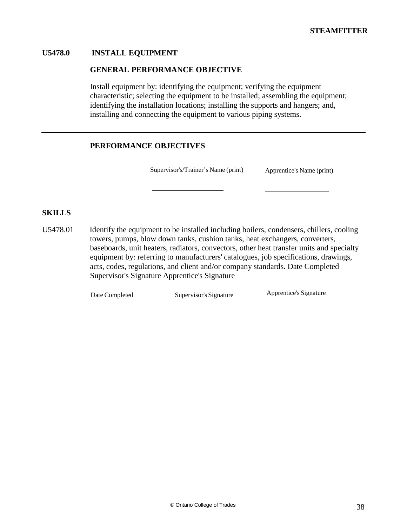# **U5478.0 INSTALL EQUIPMENT**

#### **GENERAL PERFORMANCE OBJECTIVE**

Install equipment by: identifying the equipment; verifying the equipment characteristic; selecting the equipment to be installed; assembling the equipment; identifying the installation locations; installing the supports and hangers; and, installing and connecting the equipment to various piping systems.

# **PERFORMANCE OBJECTIVES**

Supervisor's/Trainer's Name (print) Apprentice's Name (print)

#### **SKILLS**

U5478.01 Identify the equipment to be installed including boilers, condensers, chillers, cooling towers, pumps, blow down tanks, cushion tanks, heat exchangers, converters, baseboards, unit heaters, radiators, convectors, other heat transfer units and specialty equipment by: referring to manufacturers' catalogues, job specifications, drawings, acts, codes, regulations, and client and/or company standards. Date Completed Supervisor's Signature Apprentice's Signature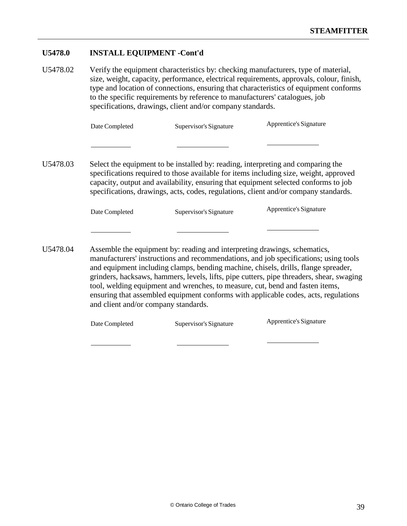# **U5478.0 INSTALL EQUIPMENT -Cont'd**

U5478.02 Verify the equipment characteristics by: checking manufacturers, type of material, size, weight, capacity, performance, electrical requirements, approvals, colour, finish, type and location of connections, ensuring that characteristics of equipment conforms to the specific requirements by reference to manufacturers' catalogues, job specifications, drawings, client and/or company standards.

| Date Completed | Supervisor's Signature | Apprentice's Signature |
|----------------|------------------------|------------------------|
|                |                        |                        |

U5478.03 Select the equipment to be installed by: reading, interpreting and comparing the specifications required to those available for items including size, weight, approved capacity, output and availability, ensuring that equipment selected conforms to job specifications, drawings, acts, codes, regulations, client and/or company standards.

| Date Completed | Supervisor's Signature | Apprentice's Signature |
|----------------|------------------------|------------------------|
|----------------|------------------------|------------------------|

U5478.04 Assemble the equipment by: reading and interpreting drawings, schematics, manufacturers' instructions and recommendations, and job specifications; using tools and equipment including clamps, bending machine, chisels, drills, flange spreader, grinders, hacksaws, hammers, levels, lifts, pipe cutters, pipe threaders, shear, swaging tool, welding equipment and wrenches, to measure, cut, bend and fasten items, ensuring that assembled equipment conforms with applicable codes, acts, regulations and client and/or company standards.

| Date Completed | Supervisor's Signature | Apprentice's Signature |
|----------------|------------------------|------------------------|
|----------------|------------------------|------------------------|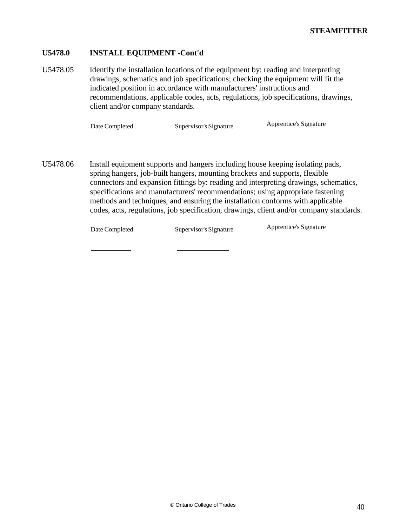# **U5478.0 INSTALL EQUIPMENT -Cont'd**

U5478.05 Identify the installation locations of the equipment by: reading and interpreting drawings, schematics and job specifications; checking the equipment will fit the indicated position in accordance with manufacturers' instructions and recommendations, applicable codes, acts, regulations, job specifications, drawings, client and/or company standards.

| Date Completed<br>Supervisor's Signature | Apprentice's Signature |
|------------------------------------------|------------------------|
|------------------------------------------|------------------------|

U5478.06 Install equipment supports and hangers including house keeping isolating pads, spring hangers, job-built hangers, mounting brackets and supports, flexible connectors and expansion fittings by: reading and interpreting drawings, schematics, specifications and manufacturers' recommendations; using appropriate fastening methods and techniques, and ensuring the installation conforms with applicable codes, acts, regulations, job specification, drawings, client and/or company standards.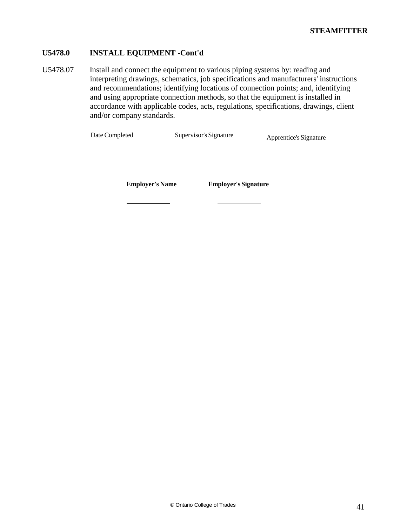# **U5478.0 INSTALL EQUIPMENT -Cont'd**

U5478.07 Install and connect the equipment to various piping systems by: reading and interpreting drawings, schematics, job specifications and manufacturers' instructions and recommendations; identifying locations of connection points; and, identifying and using appropriate connection methods, so that the equipment is installed in accordance with applicable codes, acts, regulations, specifications, drawings, client and/or company standards.

| Date Completed         | Supervisor's Signature      | Apprentice's Signature |
|------------------------|-----------------------------|------------------------|
|                        |                             |                        |
| <b>Employer's Name</b> | <b>Employer's Signature</b> |                        |
|                        |                             |                        |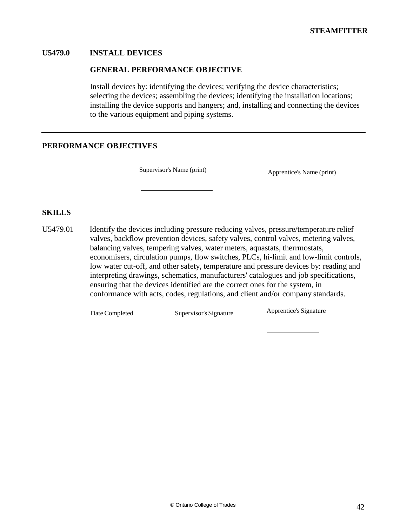# **U5479.0 INSTALL DEVICES**

#### **GENERAL PERFORMANCE OBJECTIVE**

Install devices by: identifying the devices; verifying the device characteristics; selecting the devices; assembling the devices; identifying the installation locations; installing the device supports and hangers; and, installing and connecting the devices to the various equipment and piping systems.

# **PERFORMANCE OBJECTIVES**

Supervisor's Name (print) Apprentice's Name (print)

### **SKILLS**

U5479.01 Identify the devices including pressure reducing valves, pressure/temperature relief valves, backflow prevention devices, safety valves, control valves, metering valves, balancing valves, tempering valves, water meters, aquastats, therrmostats, economisers, circulation pumps, flow switches, PLCs, hi-limit and low-limit controls, low water cut-off, and other safety, temperature and pressure devices by: reading and interpreting drawings, schematics, manufacturers' catalogues and job specifications, ensuring that the devices identified are the correct ones for the system, in conformance with acts, codes, regulations, and client and/or company standards.

Date Completed Supervisor's Signature Apprentice's Signature

© Ontario College of Trades 42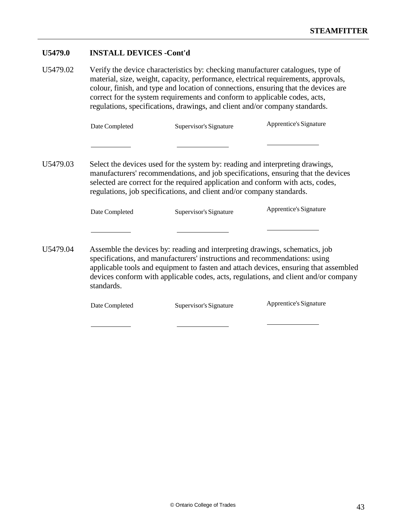# **U5479.0 INSTALL DEVICES -Cont'd**

| U5479.02 |                | Verify the device characteristics by: checking manufacturer catalogues, type of<br>correct for the system requirements and conform to applicable codes, acts,<br>regulations, specifications, drawings, and client and/or company standards. | material, size, weight, capacity, performance, electrical requirements, approvals,<br>colour, finish, and type and location of connections, ensuring that the devices are |
|----------|----------------|----------------------------------------------------------------------------------------------------------------------------------------------------------------------------------------------------------------------------------------------|---------------------------------------------------------------------------------------------------------------------------------------------------------------------------|
|          | Date Completed | Supervisor's Signature                                                                                                                                                                                                                       | Apprentice's Signature                                                                                                                                                    |

| U5479.03 |                | Select the devices used for the system by: reading and interpreting drawings,<br>selected are correct for the required application and conform with acts, codes,<br>regulations, job specifications, and client and/or company standards. | manufacturers' recommendations, and job specifications, ensuring that the devices |
|----------|----------------|-------------------------------------------------------------------------------------------------------------------------------------------------------------------------------------------------------------------------------------------|-----------------------------------------------------------------------------------|
|          | Date Completed | Supervisor's Signature                                                                                                                                                                                                                    | Apprentice's Signature                                                            |

U5479.04 Assemble the devices by: reading and interpreting drawings, schematics, job specifications, and manufacturers' instructions and recommendations: using applicable tools and equipment to fasten and attach devices, ensuring that assembled devices conform with applicable codes, acts, regulations, and client and/or company standards.

| Apprentice's Signature<br>Date Completed<br>Supervisor's Signature |
|--------------------------------------------------------------------|
|--------------------------------------------------------------------|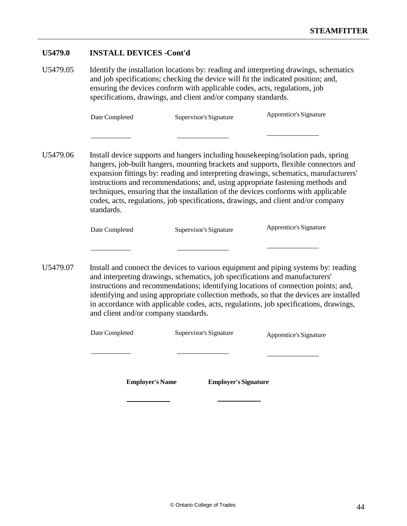## **U5479.0 INSTALL DEVICES -Cont'd**

U5479.05 Identify the installation locations by: reading and interpreting drawings, schematics and job specifications; checking the device will fit the indicated position; and, ensuring the devices conform with applicable codes, acts, regulations, job specifications, drawings, and client and/or company standards.

| Date Completed | Supervisor's Signature | Apprentice's Signature |
|----------------|------------------------|------------------------|
|----------------|------------------------|------------------------|

U5479.06 Install device supports and hangers including housekeeping/isolation pads, spring hangers, job-built hangers, mounting brackets and supports, flexible connectors and expansion fittings by: reading and interpreting drawings, schematics, manufacturers' instructions and recommendations; and, using appropriate fastening methods and techniques, ensuring that the installation of the devices conforms with applicable codes, acts, regulations, job specifications, drawings, and client and/or company standards.

| Date Completed | Supervisor's Signature | Apprentice's Signature |
|----------------|------------------------|------------------------|
|----------------|------------------------|------------------------|

U5479.07 Install and connect the devices to various equipment and piping systems by: reading and interpreting drawings, schematics, job specifications and manufacturers' instructions and recommendations; identifying locations of connection points; and, identifying and using appropriate collection methods, so that the devices are installed in accordance with applicable codes, acts, regulations, job specifications, drawings, and client and/or company standards.

| Date Completed         | Supervisor's Signature      | Apprentice's Signature |
|------------------------|-----------------------------|------------------------|
|                        |                             |                        |
| <b>Employer's Name</b> | <b>Employer's Signature</b> |                        |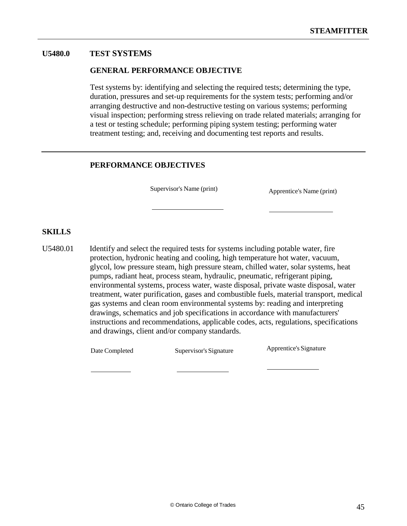# **U5480.0 TEST SYSTEMS**

#### **GENERAL PERFORMANCE OBJECTIVE**

Test systems by: identifying and selecting the required tests; determining the type, duration, pressures and set-up requirements for the system tests; performing and/or arranging destructive and non-destructive testing on various systems; performing visual inspection; performing stress relieving on trade related materials; arranging for a test or testing schedule; performing piping system testing; performing water treatment testing; and, receiving and documenting test reports and results.

### **PERFORMANCE OBJECTIVES**

Supervisor's Name (print) Apprentice's Name (print)

### **SKILLS**

U5480.01 Identify and select the required tests for systems including potable water, fire protection, hydronic heating and cooling, high temperature hot water, vacuum, glycol, low pressure steam, high pressure steam, chilled water, solar systems, heat pumps, radiant heat, process steam, hydraulic, pneumatic, refrigerant piping, environmental systems, process water, waste disposal, private waste disposal, water treatment, water purification, gases and combustible fuels, material transport, medical gas systems and clean room environmental systems by: reading and interpreting drawings, schematics and job specifications in accordance with manufacturers' instructions and recommendations, applicable codes, acts, regulations, specifications and drawings, client and/or company standards.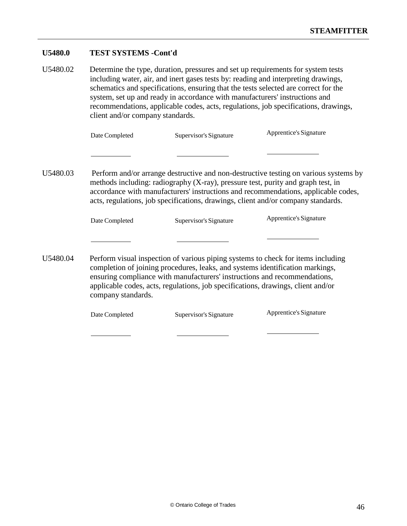# **U5480.0 TEST SYSTEMS -Cont'd**

U5480.02 Determine the type, duration, pressures and set up requirements for system tests including water, air, and inert gases tests by: reading and interpreting drawings, schematics and specifications, ensuring that the tests selected are correct for the system, set up and ready in accordance with manufacturers' instructions and recommendations, applicable codes, acts, regulations, job specifications, drawings, client and/or company standards.

|          | Date Completed                                                                                                                                                                                                                                                                                                                                           | Supervisor's Signature | Apprentice's Signature |  |
|----------|----------------------------------------------------------------------------------------------------------------------------------------------------------------------------------------------------------------------------------------------------------------------------------------------------------------------------------------------------------|------------------------|------------------------|--|
|          |                                                                                                                                                                                                                                                                                                                                                          |                        |                        |  |
| U5480.03 | Perform and/or arrange destructive and non-destructive testing on various systems by<br>methods including: radiography (X-ray), pressure test, purity and graph test, in<br>accordance with manufacturers' instructions and recommendations, applicable codes,<br>acts, regulations, job specifications, drawings, client and/or company standards.      |                        |                        |  |
|          | Date Completed                                                                                                                                                                                                                                                                                                                                           | Supervisor's Signature | Apprentice's Signature |  |
|          |                                                                                                                                                                                                                                                                                                                                                          |                        |                        |  |
| U5480.04 | Perform visual inspection of various piping systems to check for items including<br>completion of joining procedures, leaks, and systems identification markings,<br>ensuring compliance with manufacturers' instructions and recommendations,<br>applicable codes, acts, regulations, job specifications, drawings, client and/or<br>company standards. |                        |                        |  |

| Date Completed | Supervisor's Signature | Apprentice's Signature |
|----------------|------------------------|------------------------|
|----------------|------------------------|------------------------|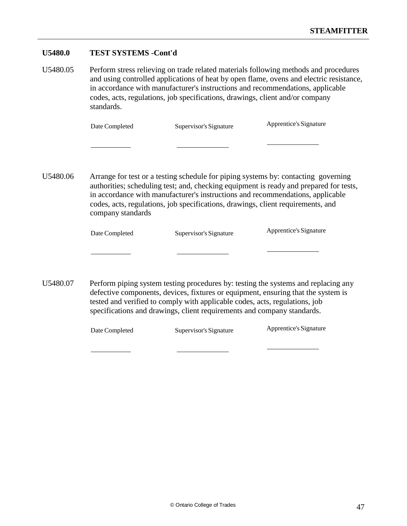#### **U5480.0 TEST SYSTEMS -Cont'd**

U5480.05 Perform stress relieving on trade related materials following methods and procedures and using controlled applications of heat by open flame, ovens and electric resistance, in accordance with manufacturer's instructions and recommendations, applicable codes, acts, regulations, job specifications, drawings, client and/or company standards.

| Date Completed | Supervisor's Signature | Apprentice's Signature |
|----------------|------------------------|------------------------|
|----------------|------------------------|------------------------|

U5480.06 Arrange for test or a testing schedule for piping systems by: contacting governing authorities; scheduling test; and, checking equipment is ready and prepared for tests, in accordance with manufacturer's instructions and recommendations, applicable codes, acts, regulations, job specifications, drawings, client requirements, and company standards

| Date Completed | Supervisor's Signature | Apprentice's Signature |
|----------------|------------------------|------------------------|
|                |                        |                        |

U5480.07 Perform piping system testing procedures by: testing the systems and replacing any defective components, devices, fixtures or equipment, ensuring that the system is tested and verified to comply with applicable codes, acts, regulations, job specifications and drawings, client requirements and company standards.

|  | Date Completed | Supervisor's Signature | Apprentice's Signature |
|--|----------------|------------------------|------------------------|
|--|----------------|------------------------|------------------------|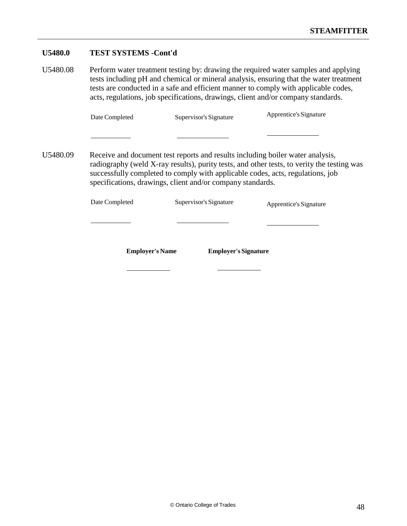# **U5480.0 TEST SYSTEMS -Cont'd**

U5480.08 Perform water treatment testing by: drawing the required water samples and applying tests including pH and chemical or mineral analysis, ensuring that the water treatment tests are conducted in a safe and efficient manner to comply with applicable codes, acts, regulations, job specifications, drawings, client and/or company standards.

| Date Completed<br>Supervisor's Signature | Apprentice's Signature |
|------------------------------------------|------------------------|
|------------------------------------------|------------------------|

U5480.09 Receive and document test reports and results including boiler water analysis, radiography (weld X-ray results), purity tests, and other tests, to verity the testing was successfully completed to comply with applicable codes, acts, regulations, job specifications, drawings, client and/or company standards.

| Date Completed         | Supervisor's Signature      | Apprentice's Signature |
|------------------------|-----------------------------|------------------------|
|                        |                             |                        |
| <b>Employer's Name</b> | <b>Employer's Signature</b> |                        |
|                        |                             |                        |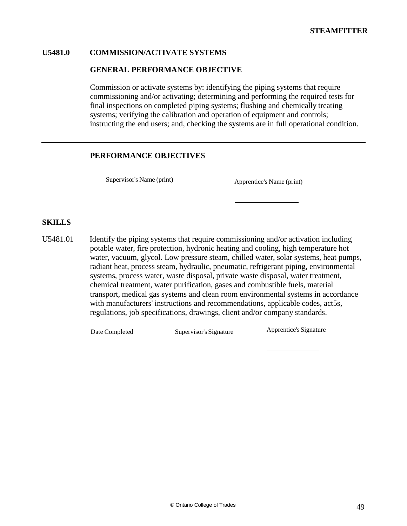# **U5481.0 COMMISSION/ACTIVATE SYSTEMS**

#### **GENERAL PERFORMANCE OBJECTIVE**

Commission or activate systems by: identifying the piping systems that require commissioning and/or activating; determining and performing the required tests for final inspections on completed piping systems; flushing and chemically treating systems; verifying the calibration and operation of equipment and controls; instructing the end users; and, checking the systems are in full operational condition.

#### **PERFORMANCE OBJECTIVES**

Supervisor's Name (print) Apprentice's Name (print)

## **SKILLS**

U5481.01 Identify the piping systems that require commissioning and/or activation including potable water, fire protection, hydronic heating and cooling, high temperature hot water, vacuum, glycol. Low pressure steam, chilled water, solar systems, heat pumps, radiant heat, process steam, hydraulic, pneumatic, refrigerant piping, environmental systems, process water, waste disposal, private waste disposal, water treatment, chemical treatment, water purification, gases and combustible fuels, material transport, medical gas systems and clean room environmental systems in accordance with manufacturers' instructions and recommendations, applicable codes, act5s, regulations, job specifications, drawings, client and/or company standards.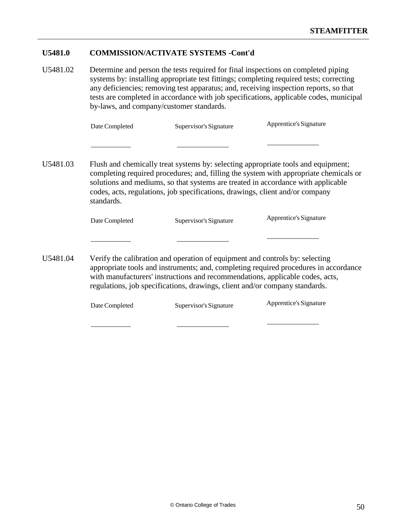## **U5481.0 COMMISSION/ACTIVATE SYSTEMS -Cont'd**

U5481.02 Determine and person the tests required for final inspections on completed piping systems by: installing appropriate test fittings; completing required tests; correcting any deficiencies; removing test apparatus; and, receiving inspection reports, so that tests are completed in accordance with job specifications, applicable codes, municipal by-laws, and company/customer standards.

| Date Completed | Supervisor's Signature | Apprentice's Signature |
|----------------|------------------------|------------------------|
|----------------|------------------------|------------------------|

U5481.03 Flush and chemically treat systems by: selecting appropriate tools and equipment; completing required procedures; and, filling the system with appropriate chemicals or solutions and mediums, so that systems are treated in accordance with applicable codes, acts, regulations, job specifications, drawings, client and/or company standards.

| Date Completed | Supervisor's Signature | Apprentice's Signature |
|----------------|------------------------|------------------------|
|----------------|------------------------|------------------------|

U5481.04 Verify the calibration and operation of equipment and controls by: selecting appropriate tools and instruments; and, completing required procedures in accordance with manufacturers' instructions and recommendations, applicable codes, acts, regulations, job specifications, drawings, client and/or company standards.

| Date Completed | Supervisor's Signature | Apprentice's Signature |
|----------------|------------------------|------------------------|
|----------------|------------------------|------------------------|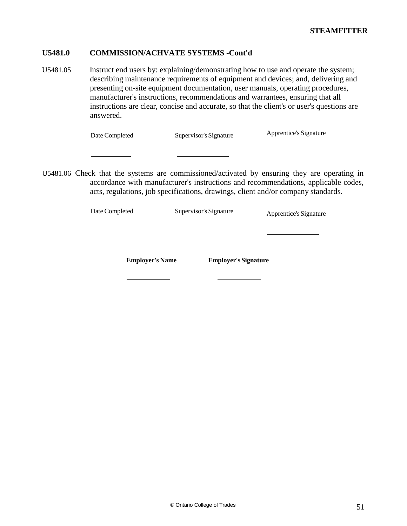# **U5481.0 COMMISSION/ACHVATE SYSTEMS -Cont'd**

U5481.05 Instruct end users by: explaining/demonstrating how to use and operate the system; describing maintenance requirements of equipment and devices; and, delivering and presenting on-site equipment documentation, user manuals, operating procedures, manufacturer's instructions, recommendations and warrantees, ensuring that all instructions are clear, concise and accurate, so that the client's or user's questions are answered.

| Date Completed | Supervisor's Signature | Apprentice's Signature |
|----------------|------------------------|------------------------|
|                |                        |                        |

U5481.06 Check that the systems are commissioned/activated by ensuring they are operating in accordance with manufacturer's instructions and recommendations, applicable codes, acts, regulations, job specifications, drawings, client and/or company standards.

| Date Completed         | Supervisor's Signature      | Apprentice's Signature |
|------------------------|-----------------------------|------------------------|
|                        |                             |                        |
|                        |                             |                        |
| <b>Employer's Name</b> | <b>Employer's Signature</b> |                        |
|                        |                             |                        |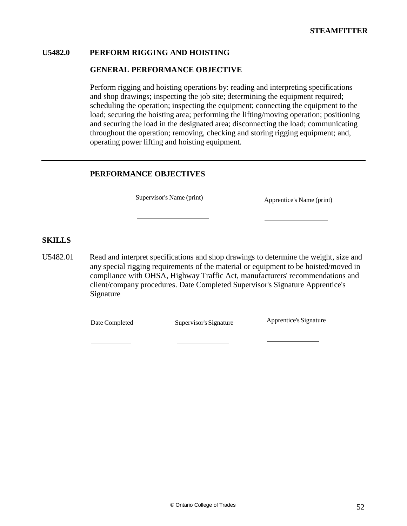# **U5482.0 PERFORM RIGGING AND HOISTING**

### **GENERAL PERFORMANCE OBJECTIVE**

Perform rigging and hoisting operations by: reading and interpreting specifications and shop drawings; inspecting the job site; determining the equipment required; scheduling the operation; inspecting the equipment; connecting the equipment to the load; securing the hoisting area; performing the lifting/moving operation; positioning and securing the load in the designated area; disconnecting the load; communicating throughout the operation; removing, checking and storing rigging equipment; and, operating power lifting and hoisting equipment.

### **PERFORMANCE OBJECTIVES**

Supervisor's Name (print) Apprentice's Name (print)

#### **SKILLS**

U5482.01 Read and interpret specifications and shop drawings to determine the weight, size and any special rigging requirements of the material or equipment to be hoisted/moved in compliance with OHSA, Highway Traffic Act, manufacturers' recommendations and client/company procedures. Date Completed Supervisor's Signature Apprentice's Signature

Date Completed Supervisor's Signature Apprentice's Signature

© Ontario College of Trades 52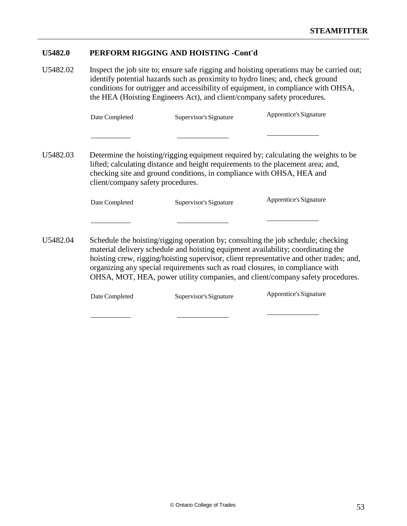U5482.02 Inspect the job site to; ensure safe rigging and hoisting operations may be carried out; identify potential hazards such as proximity to hydro lines; and, check ground conditions for outrigger and accessibility of equipment, in compliance with OHSA, the HEA (Hoisting Engineers Act), and client/company safety procedures.

| Date Completed | Supervisor's Signature | Apprentice's Signature |
|----------------|------------------------|------------------------|
|----------------|------------------------|------------------------|

U5482.03 Determine the hoisting/rigging equipment required by; calculating the weights to be lifted; calculating distance and height requirements to the placement area; and, checking site and ground conditions, in compliance with OHSA, HEA and client/company safety procedures.

| Date Completed | Supervisor's Signature | Apprentice's Signature |
|----------------|------------------------|------------------------|
|                |                        |                        |

U5482.04 Schedule the hoisting/rigging operation by; consulting the job schedule; checking material delivery schedule and hoisting equipment availability; coordinating the hoisting crew, rigging/hoisting supervisor, client representative and other trades; and, organizing any special requirements such as road closures, in compliance with OHSA, MOT, HEA, power utility companies, and client/company safety procedures.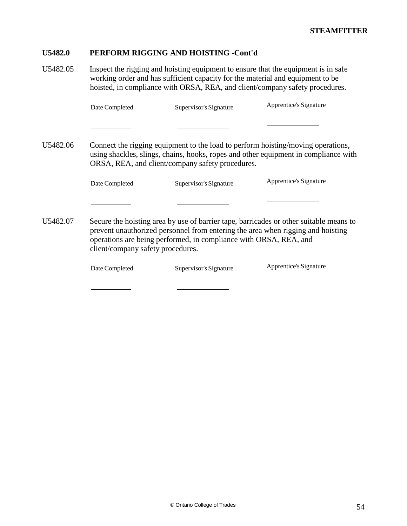U5482.05 Inspect the rigging and hoisting equipment to ensure that the equipment is in safe working order and has sufficient capacity for the material and equipment to be hoisted, in compliance with ORSA, REA, and client/company safety procedures.

|          | Date Completed                    | Supervisor's Signature                                            | Apprentice's Signature                                                                                                                                                    |
|----------|-----------------------------------|-------------------------------------------------------------------|---------------------------------------------------------------------------------------------------------------------------------------------------------------------------|
|          |                                   |                                                                   |                                                                                                                                                                           |
| U5482.06 |                                   | ORSA, REA, and client/company safety procedures.                  | Connect the rigging equipment to the load to perform hoisting/moving operations,<br>using shackles, slings, chains, hooks, ropes and other equipment in compliance with   |
|          | Date Completed                    | Supervisor's Signature                                            | Apprentice's Signature                                                                                                                                                    |
|          |                                   |                                                                   |                                                                                                                                                                           |
| U5482.07 | client/company safety procedures. | operations are being performed, in compliance with ORSA, REA, and | Secure the hoisting area by use of barrier tape, barricades or other suitable means to<br>prevent unauthorized personnel from entering the area when rigging and hoisting |
|          | Date Completed                    | Supervisor's Signature                                            | Apprentice's Signature                                                                                                                                                    |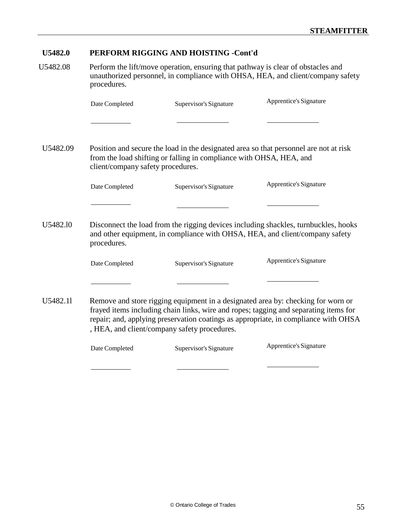U5482.08 Perform the lift/move operation, ensuring that pathway is clear of obstacles and unauthorized personnel, in compliance with OHSA, HEA, and client/company safety procedures.

|          | Date Completed                    | Supervisor's Signature                                              | Apprentice's Signature                                                                                                                                                                                                                                          |
|----------|-----------------------------------|---------------------------------------------------------------------|-----------------------------------------------------------------------------------------------------------------------------------------------------------------------------------------------------------------------------------------------------------------|
|          |                                   |                                                                     |                                                                                                                                                                                                                                                                 |
| U5482.09 | client/company safety procedures. | from the load shifting or falling in compliance with OHSA, HEA, and | Position and secure the load in the designated area so that personnel are not at risk                                                                                                                                                                           |
|          | Date Completed                    | Supervisor's Signature                                              | Apprentice's Signature                                                                                                                                                                                                                                          |
|          |                                   |                                                                     |                                                                                                                                                                                                                                                                 |
| U5482.10 | procedures.                       |                                                                     | Disconnect the load from the rigging devices including shackles, turnbuckles, hooks<br>and other equipment, in compliance with OHSA, HEA, and client/company safety                                                                                             |
|          | Date Completed                    | Supervisor's Signature                                              | Apprentice's Signature                                                                                                                                                                                                                                          |
|          |                                   |                                                                     |                                                                                                                                                                                                                                                                 |
| U5482.11 |                                   | , HEA, and client/company safety procedures.                        | Remove and store rigging equipment in a designated area by: checking for worn or<br>frayed items including chain links, wire and ropes; tagging and separating items for<br>repair; and, applying preservation coatings as appropriate, in compliance with OHSA |
|          | Date Completed                    | Supervisor's Signature                                              | Apprentice's Signature                                                                                                                                                                                                                                          |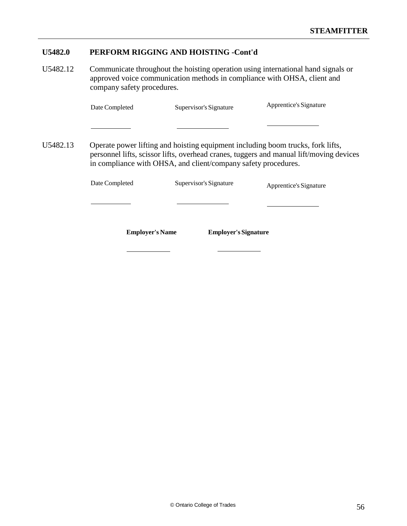U5482.12 Communicate throughout the hoisting operation using international hand signals or approved voice communication methods in compliance with OHSA, client and company safety procedures.

| Date Completed | Supervisor's Signature | Apprentice's Signature |
|----------------|------------------------|------------------------|
|----------------|------------------------|------------------------|

U5482.13 Operate power lifting and hoisting equipment including boom trucks, fork lifts, personnel lifts, scissor lifts, overhead cranes, tuggers and manual lift/moving devices in compliance with OHSA, and client/company safety procedures.

| <b>Employer's Name</b> | <b>Employer's Signature</b> |                        |
|------------------------|-----------------------------|------------------------|
|                        |                             |                        |
| Date Completed         | Supervisor's Signature      | Apprentice's Signature |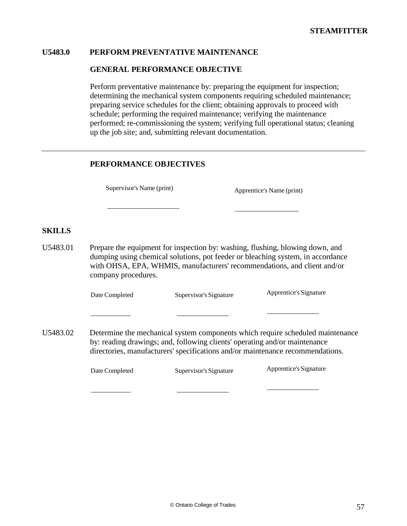## **U5483.0 PERFORM PREVENTATIVE MAINTENANCE**

### **GENERAL PERFORMANCE OBJECTIVE**

Perform preventative maintenance by: preparing the equipment for inspection; determining the mechanical system components requiring scheduled maintenance; preparing service schedules for the client; obtaining approvals to proceed with schedule; performing the required maintenance; verifying the maintenance performed; re-commissioning the system; verifying full operational status; cleaning up the job site; and, submitting relevant documentation.

# **PERFORMANCE OBJECTIVES**

Supervisor's Name (print) Apprentice's Name (print)

# **SKILLS**

U5483.01 Prepare the equipment for inspection by: washing, flushing, blowing down, and dumping using chemical solutions, pot feeder or bleaching system, in accordance with OHSA, EPA, WHMIS, manufacturers' recommendations, and client and/or company procedures.

Date Completed Supervisor's Signature Apprentice's Signature

U5483.02 Determine the mechanical system components which require scheduled maintenance by: reading drawings; and, following clients' operating and/or maintenance directories, manufacturers' specifications and/or maintenance recommendations.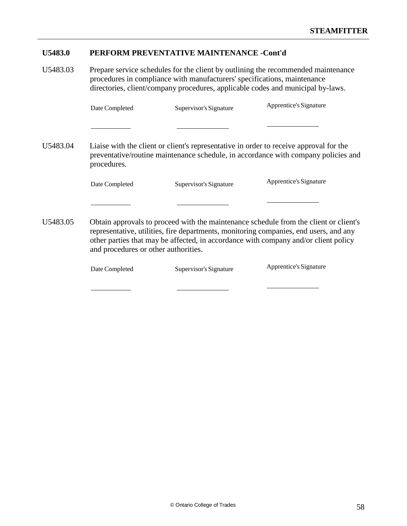# **U5483.0 PERFORM PREVENTATIVE MAINTENANCE -Cont'd**

U5483.03 Prepare service schedules for the client by outlining the recommended maintenance procedures in compliance with manufacturers' specifications, maintenance directories, client/company procedures, applicable codes and municipal by-laws.

|          | Date Completed                       | Supervisor's Signature | Apprentice's Signature                                                                                                                                                                                                                                                |
|----------|--------------------------------------|------------------------|-----------------------------------------------------------------------------------------------------------------------------------------------------------------------------------------------------------------------------------------------------------------------|
|          |                                      |                        |                                                                                                                                                                                                                                                                       |
| U5483.04 | procedures.                          |                        | Liaise with the client or client's representative in order to receive approval for the<br>preventative/routine maintenance schedule, in accordance with company policies and                                                                                          |
|          | Date Completed                       | Supervisor's Signature | Apprentice's Signature                                                                                                                                                                                                                                                |
|          |                                      |                        |                                                                                                                                                                                                                                                                       |
| U5483.05 | and procedures or other authorities. |                        | Obtain approvals to proceed with the maintenance schedule from the client or client's<br>representative, utilities, fire departments, monitoring companies, end users, and any<br>other parties that may be affected, in accordance with company and/or client policy |
|          | Date Completed                       | Supervisor's Signature | Apprentice's Signature                                                                                                                                                                                                                                                |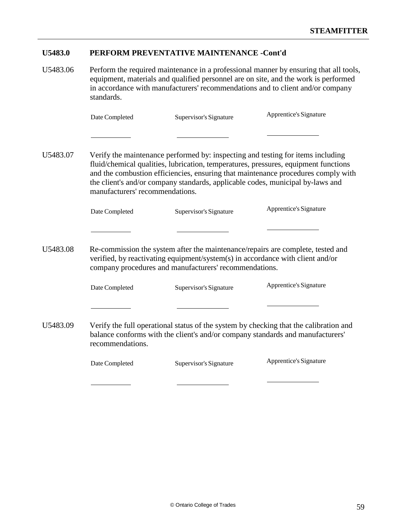# **U5483.0 PERFORM PREVENTATIVE MAINTENANCE -Cont'd**

U5483.06 Perform the required maintenance in a professional manner by ensuring that all tools, equipment, materials and qualified personnel are on site, and the work is performed in accordance with manufacturers' recommendations and to client and/or company standards.

| Date Completed | Supervisor's Signature | Apprentice's Signature |
|----------------|------------------------|------------------------|
|----------------|------------------------|------------------------|

U5483.07 Verify the maintenance performed by: inspecting and testing for items including fluid/chemical qualities, lubrication, temperatures, pressures, equipment functions and the combustion efficiencies, ensuring that maintenance procedures comply with the client's and/or company standards, applicable codes, municipal by-laws and manufacturers' recommendations.

| Date Completed | Supervisor's Signature | Apprentice's Signature |
|----------------|------------------------|------------------------|
|----------------|------------------------|------------------------|

U5483.08 Re-commission the system after the maintenance/repairs are complete, tested and verified, by reactivating equipment/system(s) in accordance with client and/or company procedures and manufacturers' recommendations.

Date Completed Supervisor's Signature Apprentice's Signature

U5483.09 Verify the full operational status of the system by checking that the calibration and balance conforms with the client's and/or company standards and manufacturers' recommendations.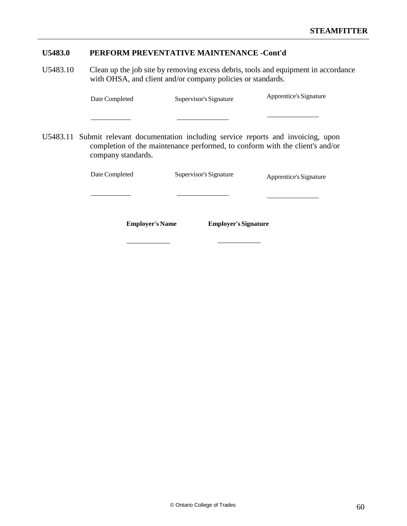# **U5483.0 PERFORM PREVENTATIVE MAINTENANCE -Cont'd**

U5483.10 Clean up the job site by removing excess debris, tools and equipment in accordance with OHSA, and client and/or company policies or standards.

| Date Completed | Supervisor's Signature | Apprentice's Signature |
|----------------|------------------------|------------------------|
|----------------|------------------------|------------------------|

U5483.11 Submit relevant documentation including service reports and invoicing, upon completion of the maintenance performed, to conform with the client's and/or company standards.

| Date Completed         | Supervisor's Signature      | Apprentice's Signature |  |
|------------------------|-----------------------------|------------------------|--|
|                        |                             |                        |  |
| <b>Employer's Name</b> | <b>Employer's Signature</b> |                        |  |
|                        |                             |                        |  |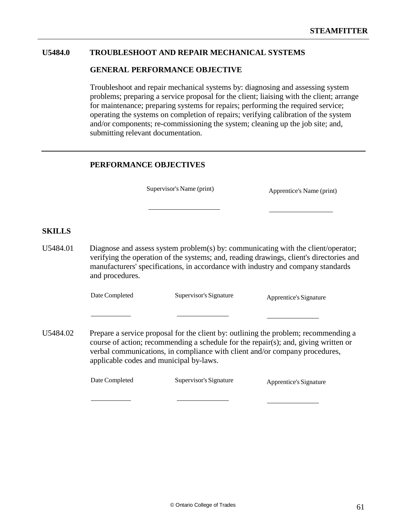## **U5484.0 TROUBLESHOOT AND REPAIR MECHANICAL SYSTEMS**

#### **GENERAL PERFORMANCE OBJECTIVE**

Troubleshoot and repair mechanical systems by: diagnosing and assessing system problems; preparing a service proposal for the client; liaising with the client; arrange for maintenance; preparing systems for repairs; performing the required service; operating the systems on completion of repairs; verifying calibration of the system and/or components; re-commissioning the system; cleaning up the job site; and, submitting relevant documentation.

# **PERFORMANCE OBJECTIVES**

Supervisor's Name (print) Apprentice's Name (print)

## **SKILLS**

U5484.01 Diagnose and assess system problem(s) by: communicating with the client/operator; verifying the operation of the systems; and, reading drawings, client's directories and manufacturers' specifications, in accordance with industry and company standards and procedures.

Date Completed Supervisor's Signature Apprentice's Signature

U5484.02 Prepare a service proposal for the client by: outlining the problem; recommending a course of action; recommending a schedule for the repair(s); and, giving written or verbal communications, in compliance with client and/or company procedures, applicable codes and municipal by-laws.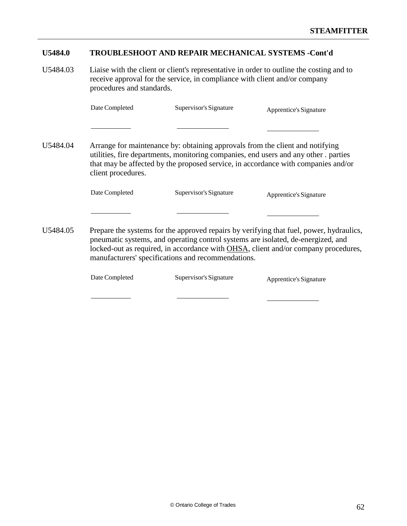### **U5484.0 TROUBLESHOOT AND REPAIR MECHANICAL SYSTEMS -Cont'd**

U5484.03 Liaise with the client or client's representative in order to outline the costing and to receive approval for the service, in compliance with client and/or company procedures and standards.

Date Completed Supervisor's Signature Apprentice's Signature

U5484.04 Arrange for maintenance by: obtaining approvals from the client and notifying utilities, fire departments, monitoring companies, end users and any other . parties that may be affected by the proposed service, in accordance with companies and/or client procedures.

Date Completed Supervisor's Signature Apprentice's Signature

U5484.05 Prepare the systems for the approved repairs by verifying that fuel, power, hydraulics, pneumatic systems, and operating control systems are isolated, de-energized, and locked-out as required, in accordance with OHSA, client and/or company procedures, manufacturers' specifications and recommendations.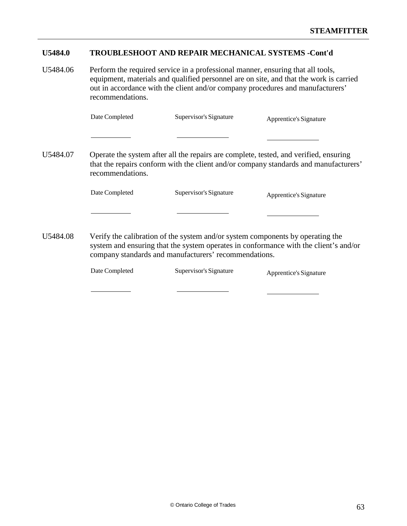#### **U5484.0 TROUBLESHOOT AND REPAIR MECHANICAL SYSTEMS -Cont'd**

U5484.06 Perform the required service in a professional manner, ensuring that all tools, equipment, materials and qualified personnel are on site, and that the work is carried out in accordance with the client and/or company procedures and manufacturers' recommendations.

Date Completed Supervisor's Signature Apprentice's Signature

U5484.07 Operate the system after all the repairs are complete, tested, and verified, ensuring that the repairs conform with the client and/or company standards and manufacturers' recommendations.

Date Completed Supervisor's Signature Apprentice's Signature

U5484.08 Verify the calibration of the system and/or system components by operating the system and ensuring that the system operates in conformance with the client's and/or company standards and manufacturers' recommendations.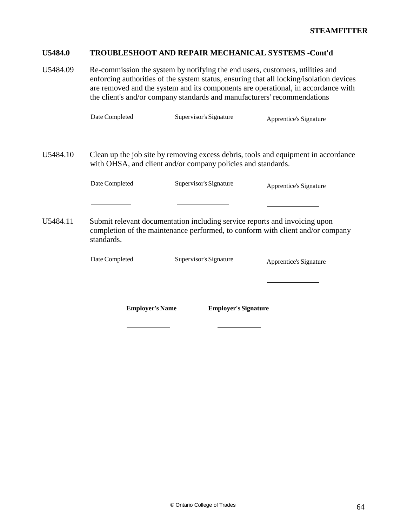# **U5484.0 TROUBLESHOOT AND REPAIR MECHANICAL SYSTEMS -Cont'd**

U5484.09 Re-commission the system by notifying the end users, customers, utilities and enforcing authorities of the system status, ensuring that all locking/isolation devices are removed and the system and its components are operational, in accordance with the client's and/or company standards and manufacturers' recommendations

|          | Date Completed                                                                                                                                                             | Supervisor's Signature      | Apprentice's Signature |  |
|----------|----------------------------------------------------------------------------------------------------------------------------------------------------------------------------|-----------------------------|------------------------|--|
|          |                                                                                                                                                                            |                             |                        |  |
| U5484.10 | Clean up the job site by removing excess debris, tools and equipment in accordance<br>with OHSA, and client and/or company policies and standards.                         |                             |                        |  |
|          | Date Completed                                                                                                                                                             | Supervisor's Signature      | Apprentice's Signature |  |
|          |                                                                                                                                                                            |                             |                        |  |
| U5484.11 | Submit relevant documentation including service reports and invoicing upon<br>completion of the maintenance performed, to conform with client and/or company<br>standards. |                             |                        |  |
|          | Date Completed                                                                                                                                                             | Supervisor's Signature      | Apprentice's Signature |  |
|          |                                                                                                                                                                            |                             |                        |  |
|          | <b>Employer's Name</b>                                                                                                                                                     | <b>Employer's Signature</b> |                        |  |
|          |                                                                                                                                                                            |                             |                        |  |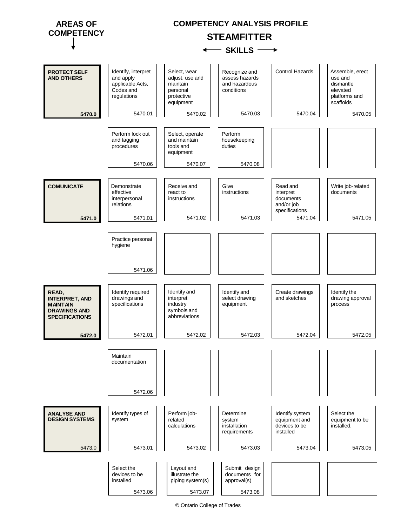

© Ontario College of Trades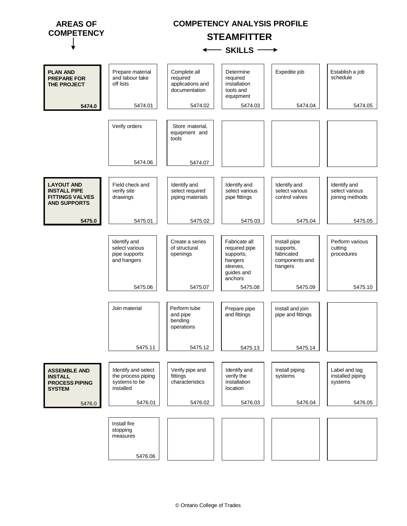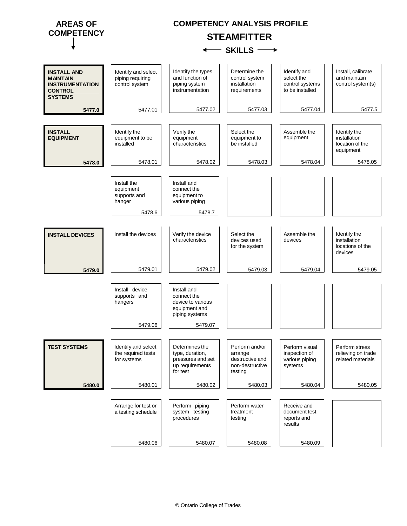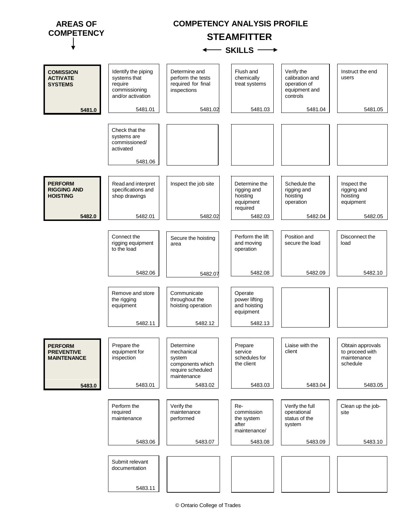